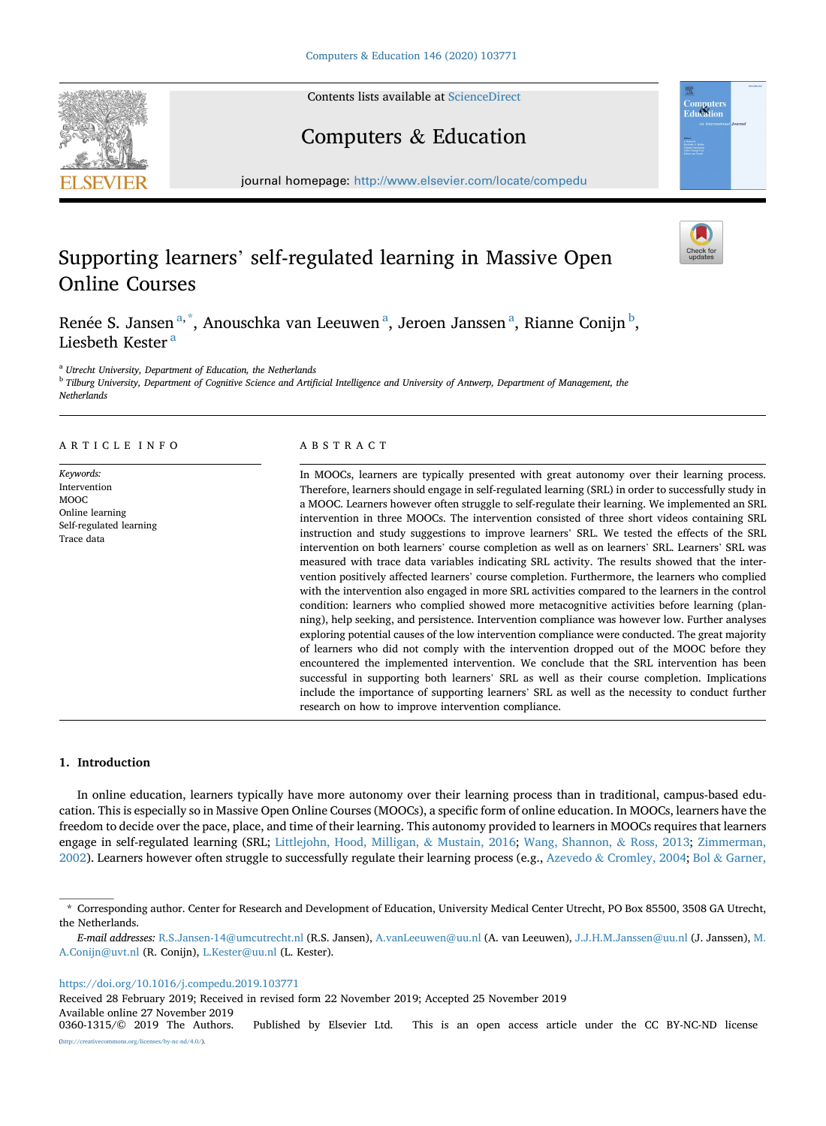Contents lists available at ScienceDirect





# Computers & Education

journal homepage: http://www.elsevier.com/locate/compedu

# Supporting learners' self-regulated learning in Massive Open Online Courses

Renée S. Jansen<sup>a,\*</sup>, Anouschka van Leeuwen<sup>a</sup>, Jeroen Janssen<sup>a</sup>, Rianne Conijn<sup>b</sup>, Liesbeth Kester<sup>a</sup>

<sup>a</sup> *Utrecht University, Department of Education, the Netherlands* 

<sup>b</sup> *Tilburg University, Department of Cognitive Science and Artificial Intelligence and University of Antwerp, Department of Management, the Netherlands* 

## ARTICLE INFO

*Keywords:*  Intervention MOOC Online learning Self-regulated learning Trace data

## ABSTRACT

In MOOCs, learners are typically presented with great autonomy over their learning process. Therefore, learners should engage in self-regulated learning (SRL) in order to successfully study in a MOOC. Learners however often struggle to self-regulate their learning. We implemented an SRL intervention in three MOOCs. The intervention consisted of three short videos containing SRL instruction and study suggestions to improve learners' SRL. We tested the effects of the SRL intervention on both learners' course completion as well as on learners' SRL. Learners' SRL was measured with trace data variables indicating SRL activity. The results showed that the intervention positively affected learners' course completion. Furthermore, the learners who complied with the intervention also engaged in more SRL activities compared to the learners in the control condition: learners who complied showed more metacognitive activities before learning (planning), help seeking, and persistence. Intervention compliance was however low. Further analyses exploring potential causes of the low intervention compliance were conducted. The great majority of learners who did not comply with the intervention dropped out of the MOOC before they encountered the implemented intervention. We conclude that the SRL intervention has been successful in supporting both learners' SRL as well as their course completion. Implications include the importance of supporting learners' SRL as well as the necessity to conduct further research on how to improve intervention compliance.

# **1. Introduction**

In online education, learners typically have more autonomy over their learning process than in traditional, campus-based education. This is especially so in Massive Open Online Courses (MOOCs), a specific form of online education. In MOOCs, learners have the freedom to decide over the pace, place, and time of their learning. This autonomy provided to learners in MOOCs requires that learners engage in self-regulated learning (SRL; [Littlejohn, Hood, Milligan,](#page-15-0) & Mustain, 2016; [Wang, Shannon,](#page-16-0) & Ross, 2013; [Zimmerman,](#page-16-0) [2002\)](#page-16-0). Learners however often struggle to successfully regulate their learning process (e.g., Azevedo & [Cromley, 2004;](#page-14-0) Bol & [Garner,](#page-14-0)

https://doi.org/10.1016/j.compedu.2019.103771

Received 28 February 2019; Received in revised form 22 November 2019; Accepted 25 November 2019

Available online 27 November 2019<br>0360-1315/© 2019 The Authors.

<sup>\*</sup> Corresponding author. Center for Research and Development of Education, University Medical Center Utrecht, PO Box 85500, 3508 GA Utrecht, the Netherlands.

*E-mail addresses:* R.S.Jansen-14@umcutrecht.nl (R.S. Jansen), A.vanLeeuwen@uu.nl (A. van Leeuwen), J.J.H.M.Janssen@uu.nl (J. Janssen), M. A.Conijn@uvt.nl (R. Conijn), L.Kester@uu.nl (L. Kester).

Published by Elsevier Ltd. This is an open access article under the CC BY-NC-ND license [\(http://creativecommons.org/licenses/by-nc-nd/4.0/\)](http://creativecommons.org/licenses/by-nc-nd/4.0/).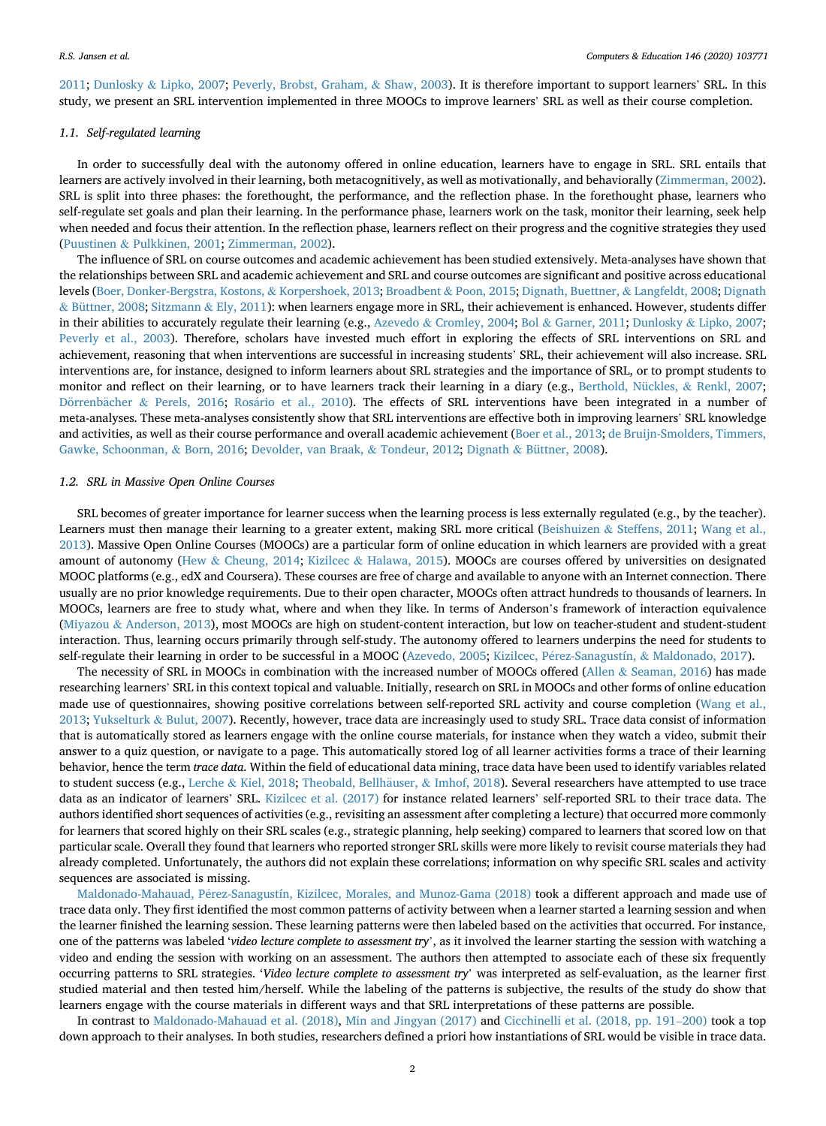[2011;](#page-14-0) Dunlosky & [Lipko, 2007; Peverly, Brobst, Graham,](#page-15-0) & Shaw, 2003). It is therefore important to support learners' SRL. In this study, we present an SRL intervention implemented in three MOOCs to improve learners' SRL as well as their course completion.

## *1.1. Self-regulated learning*

In order to successfully deal with the autonomy offered in online education, learners have to engage in SRL. SRL entails that learners are actively involved in their learning, both metacognitively, as well as motivationally, and behaviorally [\(Zimmerman, 2002](#page-16-0)). SRL is split into three phases: the forethought, the performance, and the reflection phase. In the forethought phase, learners who self-regulate set goals and plan their learning. In the performance phase, learners work on the task, monitor their learning, seek help when needed and focus their attention. In the reflection phase, learners reflect on their progress and the cognitive strategies they used (Puustinen & [Pulkkinen, 2001; Zimmerman, 2002\)](#page-16-0).

The influence of SRL on course outcomes and academic achievement has been studied extensively. Meta-analyses have shown that the relationships between SRL and academic achievement and SRL and course outcomes are significant and positive across educational levels ([Boer, Donker-Bergstra, Kostons,](#page-14-0) & Korpershoek, 2013; Broadbent & [Poon, 2015](#page-14-0); [Dignath, Buettner,](#page-15-0) & Langfeldt, 2008; [Dignath](#page-15-0) & [Büttner, 2008;](#page-15-0) [Sitzmann](#page-16-0) & Ely, 2011): when learners engage more in SRL, their achievement is enhanced. However, students differ in their abilities to accurately regulate their learning (e.g., Azevedo & [Cromley, 2004](#page-14-0); Bol & [Garner, 2011;](#page-14-0) Dunlosky & [Lipko, 2007](#page-15-0); [Peverly et al., 2003](#page-15-0)). Therefore, scholars have invested much effort in exploring the effects of SRL interventions on SRL and achievement, reasoning that when interventions are successful in increasing students' SRL, their achievement will also increase. SRL interventions are, for instance, designed to inform learners about SRL strategies and the importance of SRL, or to prompt students to monitor and reflect on their learning, or to have learners track their learning in a diary (e.g., [Berthold, Nückles,](#page-14-0) & Renkl, 2007; Dörrenbächer & [Perels, 2016;](#page-15-0) Rosário [et al., 2010\)](#page-16-0). The effects of SRL interventions have been integrated in a number of meta-analyses. These meta-analyses consistently show that SRL interventions are effective both in improving learners' SRL knowledge and activities, as well as their course performance and overall academic achievement ([Boer et al., 2013](#page-14-0); [de Bruijn-Smolders, Timmers,](#page-14-0) [Gawke, Schoonman,](#page-14-0) & Born, 2016; [Devolder, van Braak,](#page-15-0) & Tondeur, 2012; Dignath & [Büttner, 2008\)](#page-15-0).

#### *1.2. SRL in Massive Open Online Courses*

SRL becomes of greater importance for learner success when the learning process is less externally regulated (e.g., by the teacher). Learners must then manage their learning to a greater extent, making SRL more critical (Beishuizen & [Steffens, 2011](#page-14-0); [Wang et al.,](#page-16-0) [2013\)](#page-16-0). Massive Open Online Courses (MOOCs) are a particular form of online education in which learners are provided with a great amount of autonomy (Hew & [Cheung, 2014;](#page-15-0) Kizilcec & [Halawa, 2015](#page-15-0)). MOOCs are courses offered by universities on designated MOOC platforms (e.g., edX and Coursera). These courses are free of charge and available to anyone with an Internet connection. There usually are no prior knowledge requirements. Due to their open character, MOOCs often attract hundreds to thousands of learners. In MOOCs, learners are free to study what, where and when they like. In terms of Anderson's framework of interaction equivalence (Miyazou & [Anderson, 2013\)](#page-15-0), most MOOCs are high on student-content interaction, but low on teacher-student and student-student interaction. Thus, learning occurs primarily through self-study. The autonomy offered to learners underpins the need for students to self-regulate their learning in order to be successful in a MOOC [\(Azevedo, 2005;](#page-14-0) Kizilcec, Pérez-Sanagustín, & [Maldonado, 2017\)](#page-15-0).

The necessity of SRL in MOOCs in combination with the increased number of MOOCs offered (Allen  $\&$  [Seaman, 2016](#page-14-0)) has made researching learners' SRL in this context topical and valuable. Initially, research on SRL in MOOCs and other forms of online education made use of questionnaires, showing positive correlations between self-reported SRL activity and course completion ([Wang et al.,](#page-16-0) [2013;](#page-16-0) Yukselturk & [Bulut, 2007\)](#page-16-0). Recently, however, trace data are increasingly used to study SRL. Trace data consist of information that is automatically stored as learners engage with the online course materials, for instance when they watch a video, submit their answer to a quiz question, or navigate to a page. This automatically stored log of all learner activities forms a trace of their learning behavior, hence the term *trace data*. Within the field of educational data mining, trace data have been used to identify variables related to student success (e.g., Lerche & [Kiel, 2018;](#page-15-0) Theobald, Bellhäuser, & Imhof, 2018). Several researchers have attempted to use trace data as an indicator of learners' SRL. [Kizilcec et al. \(2017\)](#page-15-0) for instance related learners' self-reported SRL to their trace data. The authors identified short sequences of activities (e.g., revisiting an assessment after completing a lecture) that occurred more commonly for learners that scored highly on their SRL scales (e.g., strategic planning, help seeking) compared to learners that scored low on that particular scale. Overall they found that learners who reported stronger SRL skills were more likely to revisit course materials they had already completed. Unfortunately, the authors did not explain these correlations; information on why specific SRL scales and activity sequences are associated is missing.

Maldonado-Mahauad, Pérez-Sanagustín, Kizilcec, Morales, and Munoz-Gama (2018) took a different approach and made use of trace data only. They first identified the most common patterns of activity between when a learner started a learning session and when the learner finished the learning session. These learning patterns were then labeled based on the activities that occurred. For instance, one of the patterns was labeled '*video lecture complete to assessment try*', as it involved the learner starting the session with watching a video and ending the session with working on an assessment. The authors then attempted to associate each of these six frequently occurring patterns to SRL strategies. '*Video lecture complete to assessment try*' was interpreted as self-evaluation, as the learner first studied material and then tested him/herself. While the labeling of the patterns is subjective, the results of the study do show that learners engage with the course materials in different ways and that SRL interpretations of these patterns are possible.

In contrast to [Maldonado-Mahauad et al. \(2018\)](#page-15-0), [Min and Jingyan \(2017\)](#page-15-0) and [Cicchinelli et al. \(2018, pp. 191](#page-15-0)–200) took a top down approach to their analyses. In both studies, researchers defined a priori how instantiations of SRL would be visible in trace data.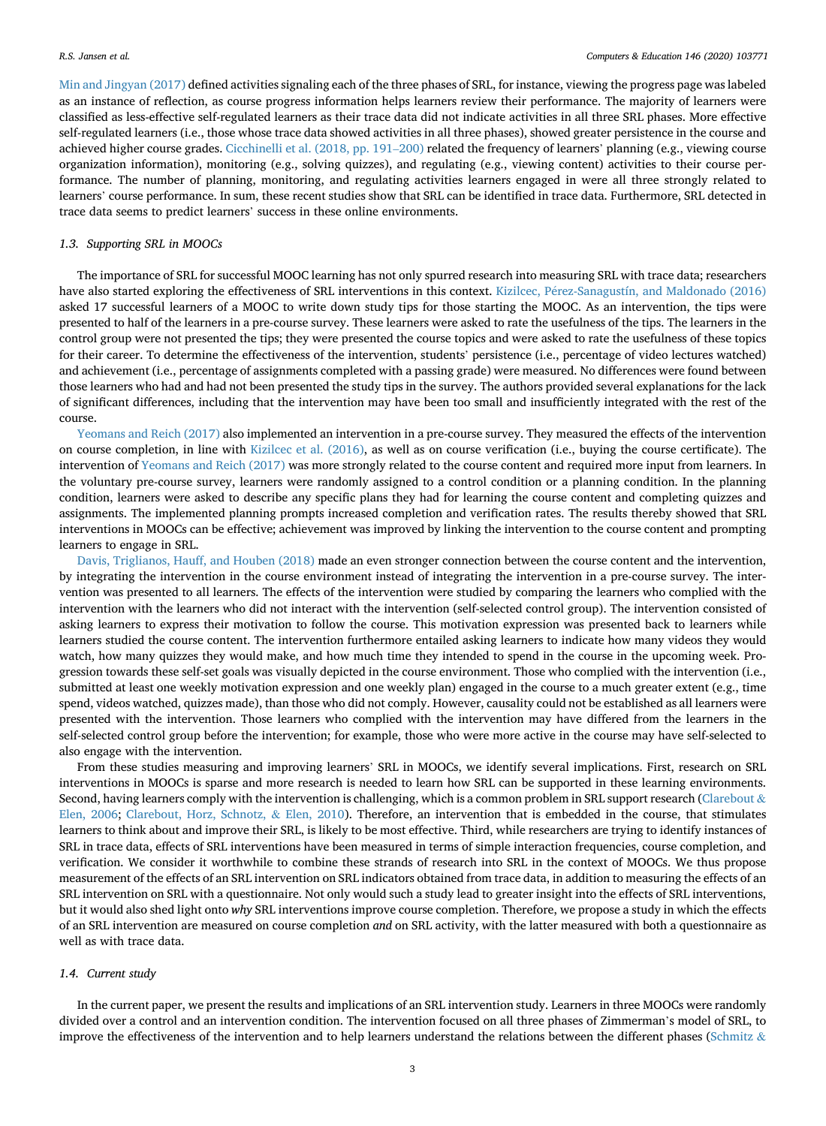[Min and Jingyan \(2017\)](#page-15-0) defined activities signaling each of the three phases of SRL, for instance, viewing the progress page was labeled as an instance of reflection, as course progress information helps learners review their performance. The majority of learners were classified as less-effective self-regulated learners as their trace data did not indicate activities in all three SRL phases. More effective self-regulated learners (i.e., those whose trace data showed activities in all three phases), showed greater persistence in the course and achieved higher course grades. [Cicchinelli et al. \(2018, pp. 191](#page-15-0)–200) related the frequency of learners' planning (e.g., viewing course organization information), monitoring (e.g., solving quizzes), and regulating (e.g., viewing content) activities to their course performance. The number of planning, monitoring, and regulating activities learners engaged in were all three strongly related to learners' course performance. In sum, these recent studies show that SRL can be identified in trace data. Furthermore, SRL detected in trace data seems to predict learners' success in these online environments.

## *1.3. Supporting SRL in MOOCs*

The importance of SRL for successful MOOC learning has not only spurred research into measuring SRL with trace data; researchers have also started exploring the effectiveness of SRL interventions in this context. Kizilcec, Pérez-Sanagustín, and Maldonado (2016) asked 17 successful learners of a MOOC to write down study tips for those starting the MOOC. As an intervention, the tips were presented to half of the learners in a pre-course survey. These learners were asked to rate the usefulness of the tips. The learners in the control group were not presented the tips; they were presented the course topics and were asked to rate the usefulness of these topics for their career. To determine the effectiveness of the intervention, students' persistence (i.e., percentage of video lectures watched) and achievement (i.e., percentage of assignments completed with a passing grade) were measured. No differences were found between those learners who had and had not been presented the study tips in the survey. The authors provided several explanations for the lack of significant differences, including that the intervention may have been too small and insufficiently integrated with the rest of the course.

[Yeomans and Reich \(2017\)](#page-16-0) also implemented an intervention in a pre-course survey. They measured the effects of the intervention on course completion, in line with [Kizilcec et al. \(2016\)](#page-15-0), as well as on course verification (i.e., buying the course certificate). The intervention of [Yeomans and Reich \(2017\)](#page-16-0) was more strongly related to the course content and required more input from learners. In the voluntary pre-course survey, learners were randomly assigned to a control condition or a planning condition. In the planning condition, learners were asked to describe any specific plans they had for learning the course content and completing quizzes and assignments. The implemented planning prompts increased completion and verification rates. The results thereby showed that SRL interventions in MOOCs can be effective; achievement was improved by linking the intervention to the course content and prompting learners to engage in SRL.

[Davis, Triglianos, Hauff, and Houben \(2018\)](#page-15-0) made an even stronger connection between the course content and the intervention, by integrating the intervention in the course environment instead of integrating the intervention in a pre-course survey. The intervention was presented to all learners. The effects of the intervention were studied by comparing the learners who complied with the intervention with the learners who did not interact with the intervention (self-selected control group). The intervention consisted of asking learners to express their motivation to follow the course. This motivation expression was presented back to learners while learners studied the course content. The intervention furthermore entailed asking learners to indicate how many videos they would watch, how many quizzes they would make, and how much time they intended to spend in the course in the upcoming week. Progression towards these self-set goals was visually depicted in the course environment. Those who complied with the intervention (i.e., submitted at least one weekly motivation expression and one weekly plan) engaged in the course to a much greater extent (e.g., time spend, videos watched, quizzes made), than those who did not comply. However, causality could not be established as all learners were presented with the intervention. Those learners who complied with the intervention may have differed from the learners in the self-selected control group before the intervention; for example, those who were more active in the course may have self-selected to also engage with the intervention.

From these studies measuring and improving learners' SRL in MOOCs, we identify several implications. First, research on SRL interventions in MOOCs is sparse and more research is needed to learn how SRL can be supported in these learning environments. Second, having learners comply with the intervention is challenging, which is a common problem in SRL support research ([Clarebout](#page-15-0)  $\&$ [Elen, 2006;](#page-15-0) [Clarebout, Horz, Schnotz,](#page-15-0) & Elen, 2010). Therefore, an intervention that is embedded in the course, that stimulates learners to think about and improve their SRL, is likely to be most effective. Third, while researchers are trying to identify instances of SRL in trace data, effects of SRL interventions have been measured in terms of simple interaction frequencies, course completion, and verification. We consider it worthwhile to combine these strands of research into SRL in the context of MOOCs. We thus propose measurement of the effects of an SRL intervention on SRL indicators obtained from trace data, in addition to measuring the effects of an SRL intervention on SRL with a questionnaire. Not only would such a study lead to greater insight into the effects of SRL interventions, but it would also shed light onto *why* SRL interventions improve course completion. Therefore, we propose a study in which the effects of an SRL intervention are measured on course completion *and* on SRL activity, with the latter measured with both a questionnaire as well as with trace data.

## *1.4. Current study*

In the current paper, we present the results and implications of an SRL intervention study. Learners in three MOOCs were randomly divided over a control and an intervention condition. The intervention focused on all three phases of Zimmerman's model of SRL, to improve the effectiveness of the intervention and to help learners understand the relations between the different phases ([Schmitz](#page-16-0)  $\&$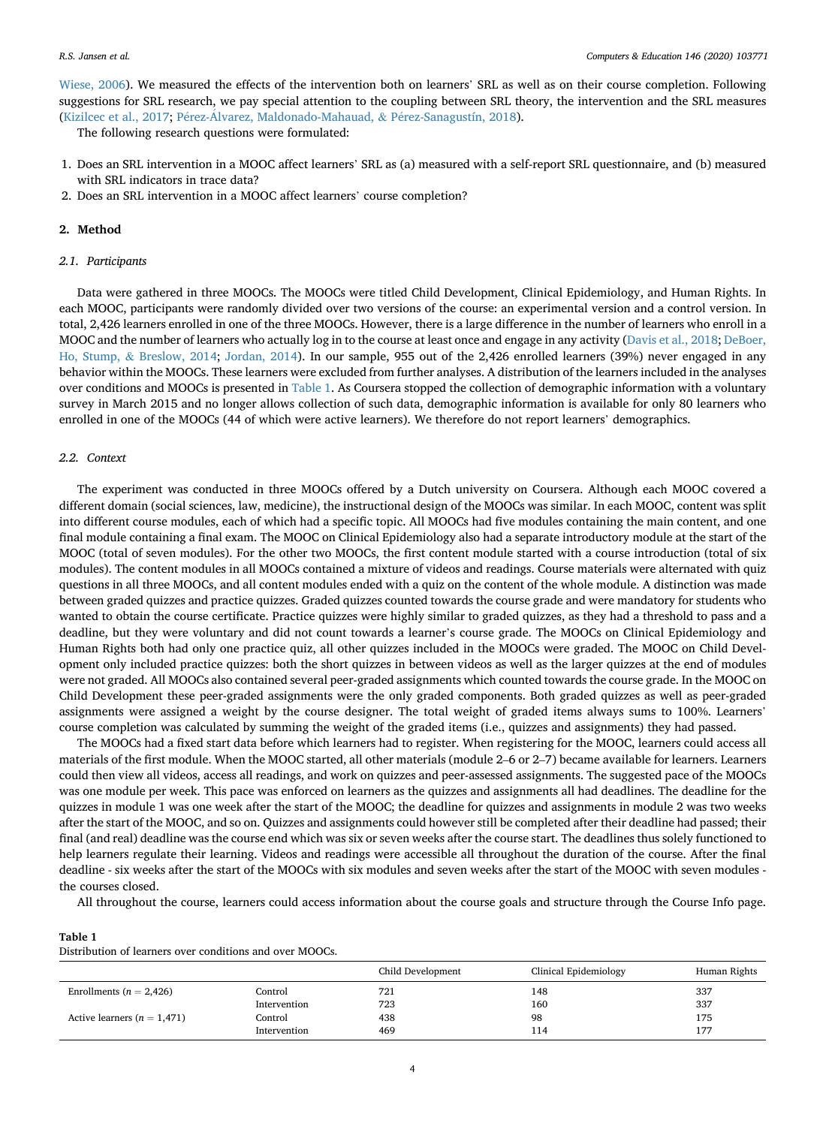[Wiese, 2006\)](#page-16-0). We measured the effects of the intervention both on learners' SRL as well as on their course completion. Following suggestions for SRL research, we pay special attention to the coupling between SRL theory, the intervention and the SRL measures [\(Kizilcec et al., 2017;](#page-15-0) Pérez-Álvarez, [Maldonado-Mahauad,](#page-15-0) & Pérez-Sanagustín, 2018).

The following research questions were formulated:

- 1. Does an SRL intervention in a MOOC affect learners' SRL as (a) measured with a self-report SRL questionnaire, and (b) measured with SRL indicators in trace data?
- 2. Does an SRL intervention in a MOOC affect learners' course completion?

# **2. Method**

## *2.1. Participants*

Data were gathered in three MOOCs. The MOOCs were titled Child Development, Clinical Epidemiology, and Human Rights. In each MOOC, participants were randomly divided over two versions of the course: an experimental version and a control version. In total, 2,426 learners enrolled in one of the three MOOCs. However, there is a large difference in the number of learners who enroll in a MOOC and the number of learners who actually log in to the course at least once and engage in any activity ([Davis et al., 2018](#page-15-0); [DeBoer,](#page-15-0) Ho, Stump, & [Breslow, 2014](#page-15-0); [Jordan, 2014](#page-15-0)). In our sample, 955 out of the 2,426 enrolled learners (39%) never engaged in any behavior within the MOOCs. These learners were excluded from further analyses. A distribution of the learners included in the analyses over conditions and MOOCs is presented in Table 1. As Coursera stopped the collection of demographic information with a voluntary survey in March 2015 and no longer allows collection of such data, demographic information is available for only 80 learners who enrolled in one of the MOOCs (44 of which were active learners). We therefore do not report learners' demographics.

# *2.2. Context*

The experiment was conducted in three MOOCs offered by a Dutch university on Coursera. Although each MOOC covered a different domain (social sciences, law, medicine), the instructional design of the MOOCs was similar. In each MOOC, content was split into different course modules, each of which had a specific topic. All MOOCs had five modules containing the main content, and one final module containing a final exam. The MOOC on Clinical Epidemiology also had a separate introductory module at the start of the MOOC (total of seven modules). For the other two MOOCs, the first content module started with a course introduction (total of six modules). The content modules in all MOOCs contained a mixture of videos and readings. Course materials were alternated with quiz questions in all three MOOCs, and all content modules ended with a quiz on the content of the whole module. A distinction was made between graded quizzes and practice quizzes. Graded quizzes counted towards the course grade and were mandatory for students who wanted to obtain the course certificate. Practice quizzes were highly similar to graded quizzes, as they had a threshold to pass and a deadline, but they were voluntary and did not count towards a learner's course grade. The MOOCs on Clinical Epidemiology and Human Rights both had only one practice quiz, all other quizzes included in the MOOCs were graded. The MOOC on Child Development only included practice quizzes: both the short quizzes in between videos as well as the larger quizzes at the end of modules were not graded. All MOOCs also contained several peer-graded assignments which counted towards the course grade. In the MOOC on Child Development these peer-graded assignments were the only graded components. Both graded quizzes as well as peer-graded assignments were assigned a weight by the course designer. The total weight of graded items always sums to 100%. Learners' course completion was calculated by summing the weight of the graded items (i.e., quizzes and assignments) they had passed.

The MOOCs had a fixed start data before which learners had to register. When registering for the MOOC, learners could access all materials of the first module. When the MOOC started, all other materials (module 2–6 or 2–7) became available for learners. Learners could then view all videos, access all readings, and work on quizzes and peer-assessed assignments. The suggested pace of the MOOCs was one module per week. This pace was enforced on learners as the quizzes and assignments all had deadlines. The deadline for the quizzes in module 1 was one week after the start of the MOOC; the deadline for quizzes and assignments in module 2 was two weeks after the start of the MOOC, and so on. Quizzes and assignments could however still be completed after their deadline had passed; their final (and real) deadline was the course end which was six or seven weeks after the course start. The deadlines thus solely functioned to help learners regulate their learning. Videos and readings were accessible all throughout the duration of the course. After the final deadline - six weeks after the start of the MOOCs with six modules and seven weeks after the start of the MOOC with seven modules the courses closed.

All throughout the course, learners could access information about the course goals and structure through the Course Info page.

# **Table 1**

Distribution of learners over conditions and over MOOCs.

|                               |              | Child Development | Clinical Epidemiology | Human Rights |
|-------------------------------|--------------|-------------------|-----------------------|--------------|
| Enrollments ( $n = 2,426$ )   | Control      | 721               | 148                   | 337          |
|                               | Intervention | 723               | 160                   | 337          |
| Active learners $(n = 1,471)$ | Control      | 438               | 98                    | 175          |
|                               | Intervention | 469               | 114                   | 177          |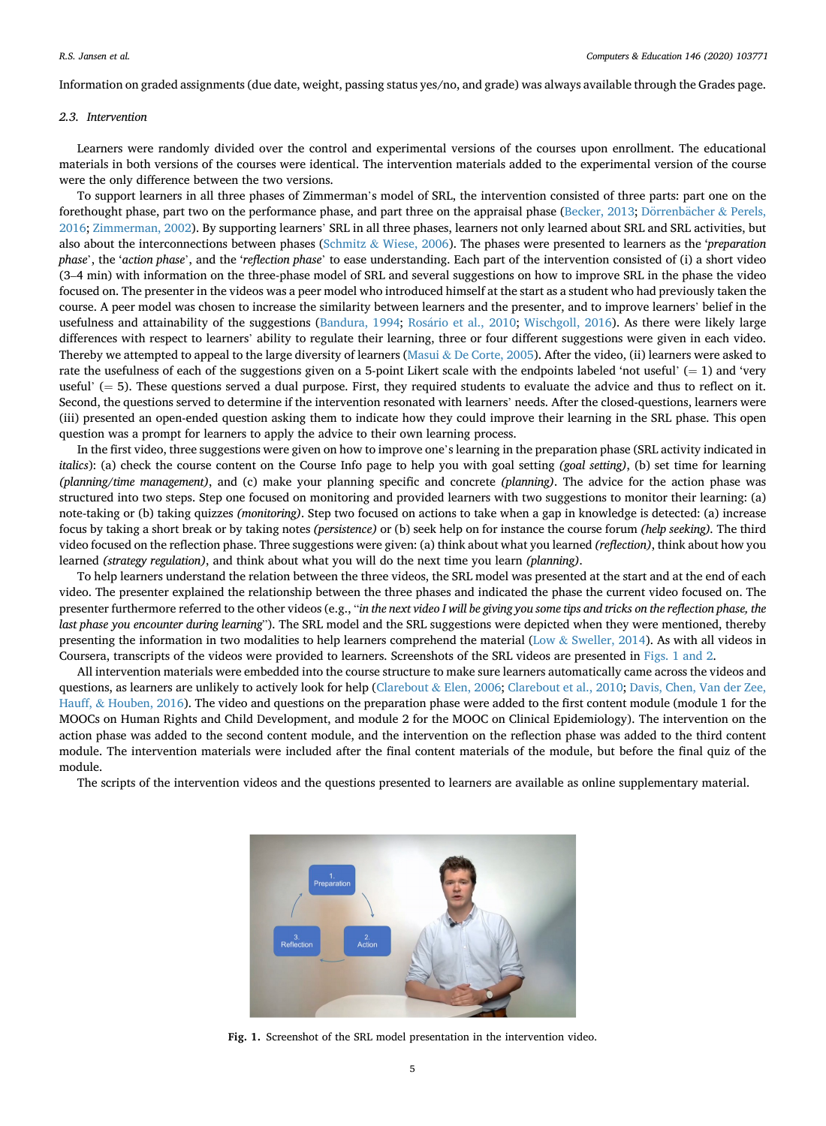Information on graded assignments (due date, weight, passing status yes/no, and grade) was always available through the Grades page.

### *2.3. Intervention*

Learners were randomly divided over the control and experimental versions of the courses upon enrollment. The educational materials in both versions of the courses were identical. The intervention materials added to the experimental version of the course were the only difference between the two versions.

To support learners in all three phases of Zimmerman's model of SRL, the intervention consisted of three parts: part one on the forethought phase, part two on the performance phase, and part three on the appraisal phase [\(Becker, 2013](#page-14-0); Dörrenbächer & Perels, [2016;](#page-15-0) [Zimmerman, 2002](#page-16-0)). By supporting learners' SRL in all three phases, learners not only learned about SRL and SRL activities, but also about the interconnections between phases (Schmitz & [Wiese, 2006\)](#page-16-0). The phases were presented to learners as the '*preparation phase*', the '*action phase*', and the '*reflection phase*' to ease understanding. Each part of the intervention consisted of (i) a short video (3–4 min) with information on the three-phase model of SRL and several suggestions on how to improve SRL in the phase the video focused on. The presenter in the videos was a peer model who introduced himself at the start as a student who had previously taken the course. A peer model was chosen to increase the similarity between learners and the presenter, and to improve learners' belief in the usefulness and attainability of the suggestions ([Bandura, 1994;](#page-14-0) Rosário [et al., 2010](#page-16-0); [Wischgoll, 2016\)](#page-16-0). As there were likely large differences with respect to learners' ability to regulate their learning, three or four different suggestions were given in each video. Thereby we attempted to appeal to the large diversity of learners (Masui & [De Corte, 2005\)](#page-15-0). After the video, (ii) learners were asked to rate the usefulness of each of the suggestions given on a 5-point Likert scale with the endpoints labeled 'not useful'  $(= 1)$  and 'very useful'  $(= 5)$ . These questions served a dual purpose. First, they required students to evaluate the advice and thus to reflect on it. Second, the questions served to determine if the intervention resonated with learners' needs. After the closed-questions, learners were (iii) presented an open-ended question asking them to indicate how they could improve their learning in the SRL phase. This open question was a prompt for learners to apply the advice to their own learning process.

In the first video, three suggestions were given on how to improve one's learning in the preparation phase (SRL activity indicated in *italics*): (a) check the course content on the Course Info page to help you with goal setting *(goal setting)*, (b) set time for learning *(planning/time management)*, and (c) make your planning specific and concrete *(planning)*. The advice for the action phase was structured into two steps. Step one focused on monitoring and provided learners with two suggestions to monitor their learning: (a) note-taking or (b) taking quizzes *(monitoring)*. Step two focused on actions to take when a gap in knowledge is detected: (a) increase focus by taking a short break or by taking notes *(persistence)* or (b) seek help on for instance the course forum *(help seeking).* The third video focused on the reflection phase. Three suggestions were given: (a) think about what you learned *(reflection)*, think about how you learned *(strategy regulation)*, and think about what you will do the next time you learn *(planning)*.

To help learners understand the relation between the three videos, the SRL model was presented at the start and at the end of each video. The presenter explained the relationship between the three phases and indicated the phase the current video focused on. The presenter furthermore referred to the other videos (e.g., "*in the next video I will be giving you some tips and tricks on the reflection phase, the last phase you encounter during learning*"). The SRL model and the SRL suggestions were depicted when they were mentioned, thereby presenting the information in two modalities to help learners comprehend the material (Low & [Sweller, 2014\)](#page-15-0). As with all videos in Coursera, transcripts of the videos were provided to learners. Screenshots of the SRL videos are presented in Figs. 1 and 2.

All intervention materials were embedded into the course structure to make sure learners automatically came across the videos and questions, as learners are unlikely to actively look for help (Clarebout & [Elen, 2006; Clarebout et al., 2010; Davis, Chen, Van der Zee,](#page-15-0) Hauff, & [Houben, 2016](#page-15-0)). The video and questions on the preparation phase were added to the first content module (module 1 for the MOOCs on Human Rights and Child Development, and module 2 for the MOOC on Clinical Epidemiology). The intervention on the action phase was added to the second content module, and the intervention on the reflection phase was added to the third content module. The intervention materials were included after the final content materials of the module, but before the final quiz of the module.

The scripts of the intervention videos and the questions presented to learners are available as online supplementary material.



**Fig. 1.** Screenshot of the SRL model presentation in the intervention video.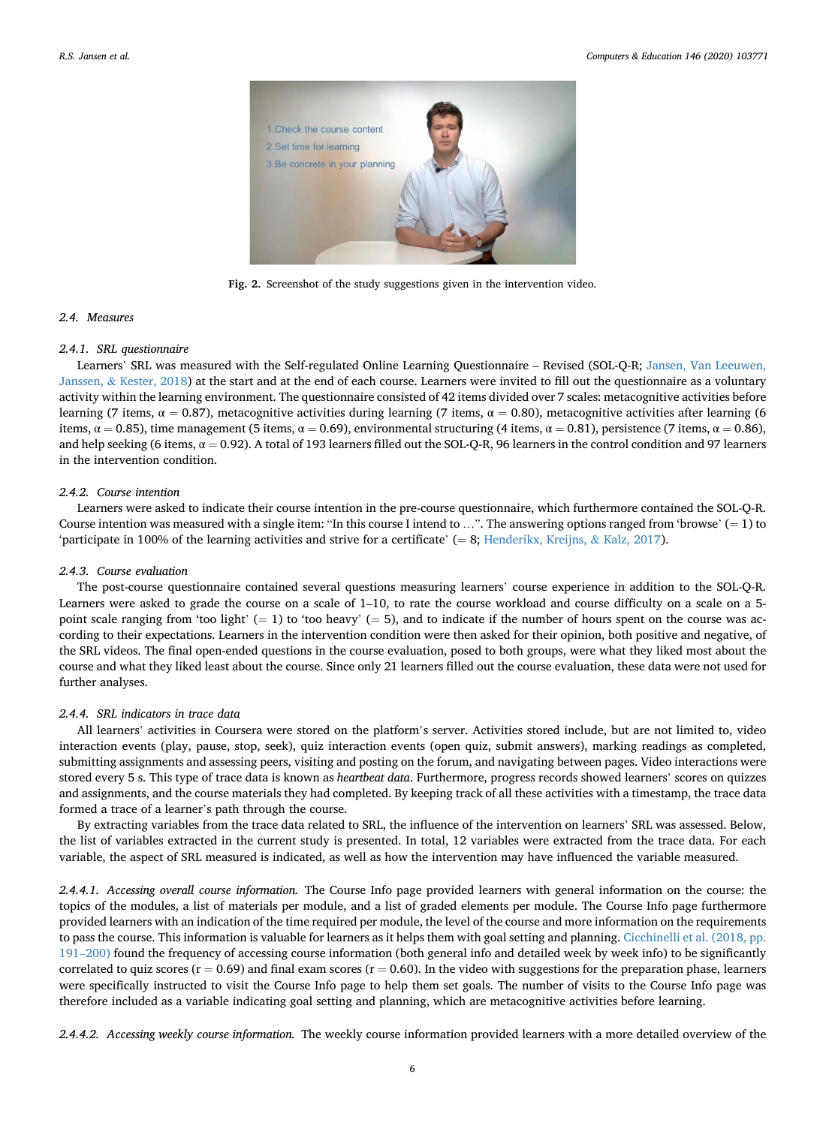

**Fig. 2.** Screenshot of the study suggestions given in the intervention video.

#### *2.4. Measures*

## *2.4.1. SRL questionnaire*

Learners' SRL was measured with the Self-regulated Online Learning Questionnaire – Revised (SOL-Q-R; [Jansen, Van Leeuwen,](#page-15-0) Janssen, & [Kester, 2018\)](#page-15-0) at the start and at the end of each course. Learners were invited to fill out the questionnaire as a voluntary activity within the learning environment. The questionnaire consisted of 42 items divided over 7 scales: metacognitive activities before learning (7 items, α = 0.87), metacognitive activities during learning (7 items, α = 0.80), metacognitive activities after learning (6 items,  $\alpha = 0.85$ ), time management (5 items,  $\alpha = 0.69$ ), environmental structuring (4 items,  $\alpha = 0.81$ ), persistence (7 items,  $\alpha = 0.86$ ), and help seeking (6 items,  $\alpha = 0.92$ ). A total of 193 learners filled out the SOL-Q-R, 96 learners in the control condition and 97 learners in the intervention condition.

# *2.4.2. Course intention*

Learners were asked to indicate their course intention in the pre-course questionnaire, which furthermore contained the SOL-Q-R. Course intention was measured with a single item: "In this course I intend to ...". The answering options ranged from 'browse'  $(= 1)$  to 'participate in 100% of the learning activities and strive for a certificate' ( $= 8$ ; [Henderikx, Kreijns,](#page-15-0) & Kalz, 2017).

## *2.4.3. Course evaluation*

The post-course questionnaire contained several questions measuring learners' course experience in addition to the SOL-Q-R. Learners were asked to grade the course on a scale of 1–10, to rate the course workload and course difficulty on a scale on a 5 point scale ranging from 'too light'  $(= 1)$  to 'too heavy'  $(= 5)$ , and to indicate if the number of hours spent on the course was according to their expectations. Learners in the intervention condition were then asked for their opinion, both positive and negative, of the SRL videos. The final open-ended questions in the course evaluation, posed to both groups, were what they liked most about the course and what they liked least about the course. Since only 21 learners filled out the course evaluation, these data were not used for further analyses.

# *2.4.4. SRL indicators in trace data*

All learners' activities in Coursera were stored on the platform's server. Activities stored include, but are not limited to, video interaction events (play, pause, stop, seek), quiz interaction events (open quiz, submit answers), marking readings as completed, submitting assignments and assessing peers, visiting and posting on the forum, and navigating between pages. Video interactions were stored every 5 s. This type of trace data is known as *heartbeat data*. Furthermore, progress records showed learners' scores on quizzes and assignments, and the course materials they had completed. By keeping track of all these activities with a timestamp, the trace data formed a trace of a learner's path through the course.

By extracting variables from the trace data related to SRL, the influence of the intervention on learners' SRL was assessed. Below, the list of variables extracted in the current study is presented. In total, 12 variables were extracted from the trace data. For each variable, the aspect of SRL measured is indicated, as well as how the intervention may have influenced the variable measured.

*2.4.4.1. Accessing overall course information.* The Course Info page provided learners with general information on the course: the topics of the modules, a list of materials per module, and a list of graded elements per module. The Course Info page furthermore provided learners with an indication of the time required per module, the level of the course and more information on the requirements to pass the course. This information is valuable for learners as it helps them with goal setting and planning. [Cicchinelli et al. \(2018, pp.](#page-15-0) 191–[200\)](#page-15-0) found the frequency of accessing course information (both general info and detailed week by week info) to be significantly correlated to quiz scores ( $r = 0.69$ ) and final exam scores ( $r = 0.60$ ). In the video with suggestions for the preparation phase, learners were specifically instructed to visit the Course Info page to help them set goals. The number of visits to the Course Info page was therefore included as a variable indicating goal setting and planning, which are metacognitive activities before learning.

*2.4.4.2. Accessing weekly course information.* The weekly course information provided learners with a more detailed overview of the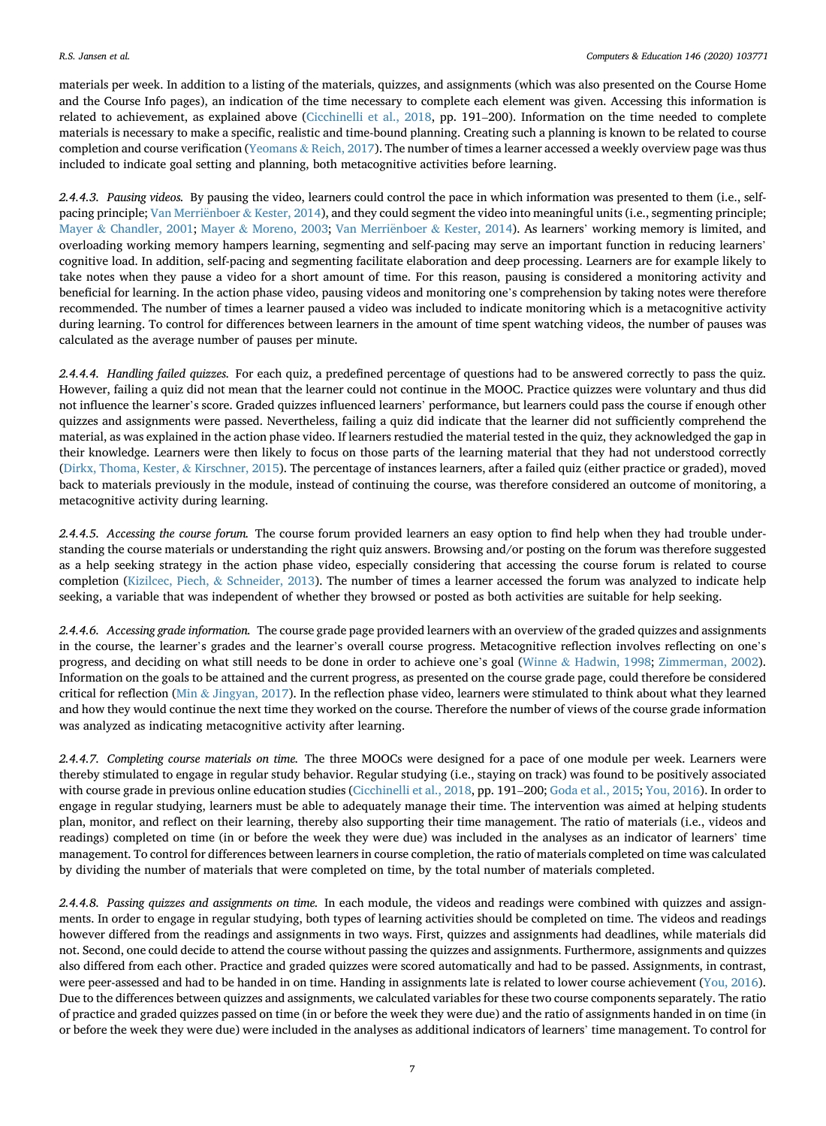materials per week. In addition to a listing of the materials, quizzes, and assignments (which was also presented on the Course Home and the Course Info pages), an indication of the time necessary to complete each element was given. Accessing this information is related to achievement, as explained above [\(Cicchinelli et al., 2018,](#page-15-0) pp. 191–200). Information on the time needed to complete materials is necessary to make a specific, realistic and time-bound planning. Creating such a planning is known to be related to course completion and course verification (Yeomans & [Reich, 2017](#page-16-0)). The number of times a learner accessed a weekly overview page was thus included to indicate goal setting and planning, both metacognitive activities before learning.

*2.4.4.3. Pausing videos.* By pausing the video, learners could control the pace in which information was presented to them (i.e., self-pacing principle; Van Merriënboer & [Kester, 2014\)](#page-16-0), and they could segment the video into meaningful units (i.e., segmenting principle; Mayer & [Chandler, 2001;](#page-15-0) Mayer & [Moreno, 2003](#page-15-0); Van Merriënboer & [Kester, 2014\)](#page-16-0). As learners' working memory is limited, and overloading working memory hampers learning, segmenting and self-pacing may serve an important function in reducing learners' cognitive load. In addition, self-pacing and segmenting facilitate elaboration and deep processing. Learners are for example likely to take notes when they pause a video for a short amount of time. For this reason, pausing is considered a monitoring activity and beneficial for learning. In the action phase video, pausing videos and monitoring one's comprehension by taking notes were therefore recommended. The number of times a learner paused a video was included to indicate monitoring which is a metacognitive activity during learning. To control for differences between learners in the amount of time spent watching videos, the number of pauses was calculated as the average number of pauses per minute.

*2.4.4.4. Handling failed quizzes.* For each quiz, a predefined percentage of questions had to be answered correctly to pass the quiz. However, failing a quiz did not mean that the learner could not continue in the MOOC. Practice quizzes were voluntary and thus did not influence the learner's score. Graded quizzes influenced learners' performance, but learners could pass the course if enough other quizzes and assignments were passed. Nevertheless, failing a quiz did indicate that the learner did not sufficiently comprehend the material, as was explained in the action phase video. If learners restudied the material tested in the quiz, they acknowledged the gap in their knowledge. Learners were then likely to focus on those parts of the learning material that they had not understood correctly [\(Dirkx, Thoma, Kester,](#page-15-0) & Kirschner, 2015). The percentage of instances learners, after a failed quiz (either practice or graded), moved back to materials previously in the module, instead of continuing the course, was therefore considered an outcome of monitoring, a metacognitive activity during learning.

*2.4.4.5. Accessing the course forum.* The course forum provided learners an easy option to find help when they had trouble understanding the course materials or understanding the right quiz answers. Browsing and/or posting on the forum was therefore suggested as a help seeking strategy in the action phase video, especially considering that accessing the course forum is related to course completion (Kizilcec, Piech, & [Schneider, 2013\)](#page-15-0). The number of times a learner accessed the forum was analyzed to indicate help seeking, a variable that was independent of whether they browsed or posted as both activities are suitable for help seeking.

*2.4.4.6. Accessing grade information.* The course grade page provided learners with an overview of the graded quizzes and assignments in the course, the learner's grades and the learner's overall course progress. Metacognitive reflection involves reflecting on one's progress, and deciding on what still needs to be done in order to achieve one's goal (Winne & [Hadwin, 1998](#page-16-0); [Zimmerman, 2002](#page-16-0)). Information on the goals to be attained and the current progress, as presented on the course grade page, could therefore be considered critical for reflection (Min & [Jingyan, 2017](#page-15-0)). In the reflection phase video, learners were stimulated to think about what they learned and how they would continue the next time they worked on the course. Therefore the number of views of the course grade information was analyzed as indicating metacognitive activity after learning.

*2.4.4.7. Completing course materials on time.* The three MOOCs were designed for a pace of one module per week. Learners were thereby stimulated to engage in regular study behavior. Regular studying (i.e., staying on track) was found to be positively associated with course grade in previous online education studies ([Cicchinelli et al., 2018,](#page-15-0) pp. 191–200; [Goda et al., 2015;](#page-15-0) [You, 2016\)](#page-16-0). In order to engage in regular studying, learners must be able to adequately manage their time. The intervention was aimed at helping students plan, monitor, and reflect on their learning, thereby also supporting their time management. The ratio of materials (i.e., videos and readings) completed on time (in or before the week they were due) was included in the analyses as an indicator of learners' time management. To control for differences between learners in course completion, the ratio of materials completed on time was calculated by dividing the number of materials that were completed on time, by the total number of materials completed.

*2.4.4.8. Passing quizzes and assignments on time.* In each module, the videos and readings were combined with quizzes and assignments. In order to engage in regular studying, both types of learning activities should be completed on time. The videos and readings however differed from the readings and assignments in two ways. First, quizzes and assignments had deadlines, while materials did not. Second, one could decide to attend the course without passing the quizzes and assignments. Furthermore, assignments and quizzes also differed from each other. Practice and graded quizzes were scored automatically and had to be passed. Assignments, in contrast, were peer-assessed and had to be handed in on time. Handing in assignments late is related to lower course achievement [\(You, 2016](#page-16-0)). Due to the differences between quizzes and assignments, we calculated variables for these two course components separately. The ratio of practice and graded quizzes passed on time (in or before the week they were due) and the ratio of assignments handed in on time (in or before the week they were due) were included in the analyses as additional indicators of learners' time management. To control for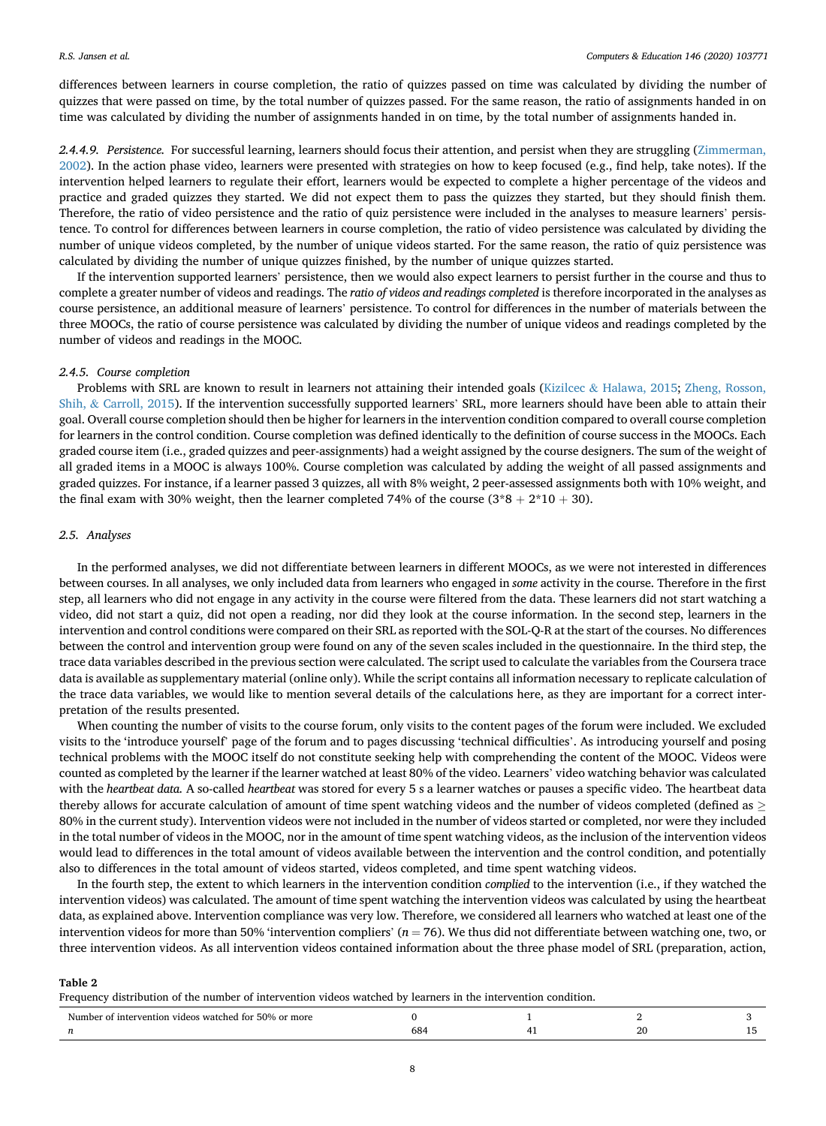<span id="page-7-0"></span>differences between learners in course completion, the ratio of quizzes passed on time was calculated by dividing the number of quizzes that were passed on time, by the total number of quizzes passed. For the same reason, the ratio of assignments handed in on time was calculated by dividing the number of assignments handed in on time, by the total number of assignments handed in.

*2.4.4.9. Persistence.* For successful learning, learners should focus their attention, and persist when they are struggling [\(Zimmerman,](#page-16-0) [2002\)](#page-16-0). In the action phase video, learners were presented with strategies on how to keep focused (e.g., find help, take notes). If the intervention helped learners to regulate their effort, learners would be expected to complete a higher percentage of the videos and practice and graded quizzes they started. We did not expect them to pass the quizzes they started, but they should finish them. Therefore, the ratio of video persistence and the ratio of quiz persistence were included in the analyses to measure learners' persistence. To control for differences between learners in course completion, the ratio of video persistence was calculated by dividing the number of unique videos completed, by the number of unique videos started. For the same reason, the ratio of quiz persistence was calculated by dividing the number of unique quizzes finished, by the number of unique quizzes started.

If the intervention supported learners' persistence, then we would also expect learners to persist further in the course and thus to complete a greater number of videos and readings. The *ratio of videos and readings completed* is therefore incorporated in the analyses as course persistence, an additional measure of learners' persistence. To control for differences in the number of materials between the three MOOCs, the ratio of course persistence was calculated by dividing the number of unique videos and readings completed by the number of videos and readings in the MOOC.

# *2.4.5. Course completion*

Problems with SRL are known to result in learners not attaining their intended goals (Kizilcec & [Halawa, 2015;](#page-15-0) [Zheng, Rosson,](#page-16-0) Shih, & [Carroll, 2015](#page-16-0)). If the intervention successfully supported learners' SRL, more learners should have been able to attain their goal. Overall course completion should then be higher for learners in the intervention condition compared to overall course completion for learners in the control condition. Course completion was defined identically to the definition of course success in the MOOCs. Each graded course item (i.e., graded quizzes and peer-assignments) had a weight assigned by the course designers. The sum of the weight of all graded items in a MOOC is always 100%. Course completion was calculated by adding the weight of all passed assignments and graded quizzes. For instance, if a learner passed 3 quizzes, all with 8% weight, 2 peer-assessed assignments both with 10% weight, and the final exam with 30% weight, then the learner completed 74% of the course  $(3*8 + 2*10 + 30)$ .

## *2.5. Analyses*

In the performed analyses, we did not differentiate between learners in different MOOCs, as we were not interested in differences between courses. In all analyses, we only included data from learners who engaged in *some* activity in the course. Therefore in the first step, all learners who did not engage in any activity in the course were filtered from the data. These learners did not start watching a video, did not start a quiz, did not open a reading, nor did they look at the course information. In the second step, learners in the intervention and control conditions were compared on their SRL as reported with the SOL-Q-R at the start of the courses. No differences between the control and intervention group were found on any of the seven scales included in the questionnaire. In the third step, the trace data variables described in the previous section were calculated. The script used to calculate the variables from the Coursera trace data is available as supplementary material (online only). While the script contains all information necessary to replicate calculation of the trace data variables, we would like to mention several details of the calculations here, as they are important for a correct interpretation of the results presented.

When counting the number of visits to the course forum, only visits to the content pages of the forum were included. We excluded visits to the 'introduce yourself' page of the forum and to pages discussing 'technical difficulties'. As introducing yourself and posing technical problems with the MOOC itself do not constitute seeking help with comprehending the content of the MOOC. Videos were counted as completed by the learner if the learner watched at least 80% of the video. Learners' video watching behavior was calculated with the *heartbeat data.* A so-called *heartbeat* was stored for every 5 s a learner watches or pauses a specific video. The heartbeat data thereby allows for accurate calculation of amount of time spent watching videos and the number of videos completed (defined as  $\geq$ 80% in the current study). Intervention videos were not included in the number of videos started or completed, nor were they included in the total number of videos in the MOOC, nor in the amount of time spent watching videos, as the inclusion of the intervention videos would lead to differences in the total amount of videos available between the intervention and the control condition, and potentially also to differences in the total amount of videos started, videos completed, and time spent watching videos.

In the fourth step, the extent to which learners in the intervention condition *complied* to the intervention (i.e., if they watched the intervention videos) was calculated. The amount of time spent watching the intervention videos was calculated by using the heartbeat data, as explained above. Intervention compliance was very low. Therefore, we considered all learners who watched at least one of the intervention videos for more than 50% 'intervention compliers'  $(n = 76)$ . We thus did not differentiate between watching one, two, or three intervention videos. As all intervention videos contained information about the three phase model of SRL (preparation, action,

## **Table 2**

Frequency distribution of the number of intervention videos watched by learners in the intervention condition.

| Number of intervention videos watched for 50% or more |          |    |  |
|-------------------------------------------------------|----------|----|--|
|                                                       | c<br>vo. | oc |  |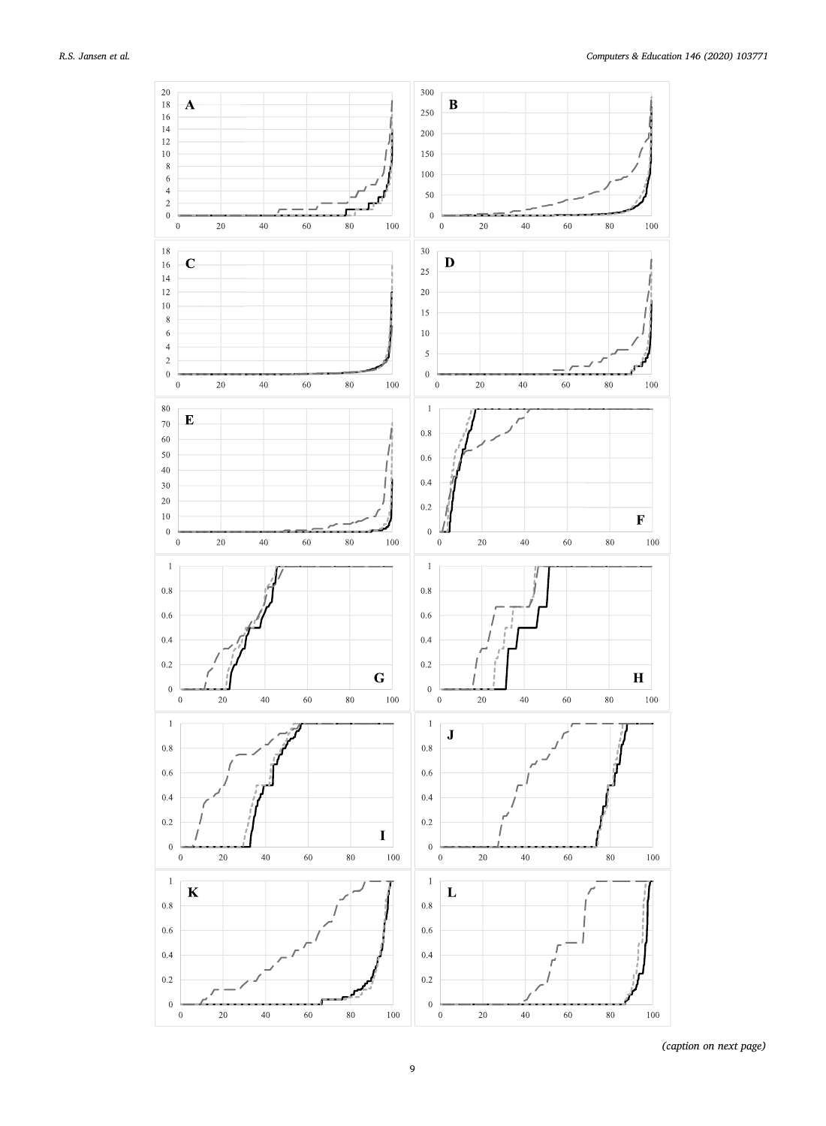<span id="page-8-0"></span>

*(caption on next page)*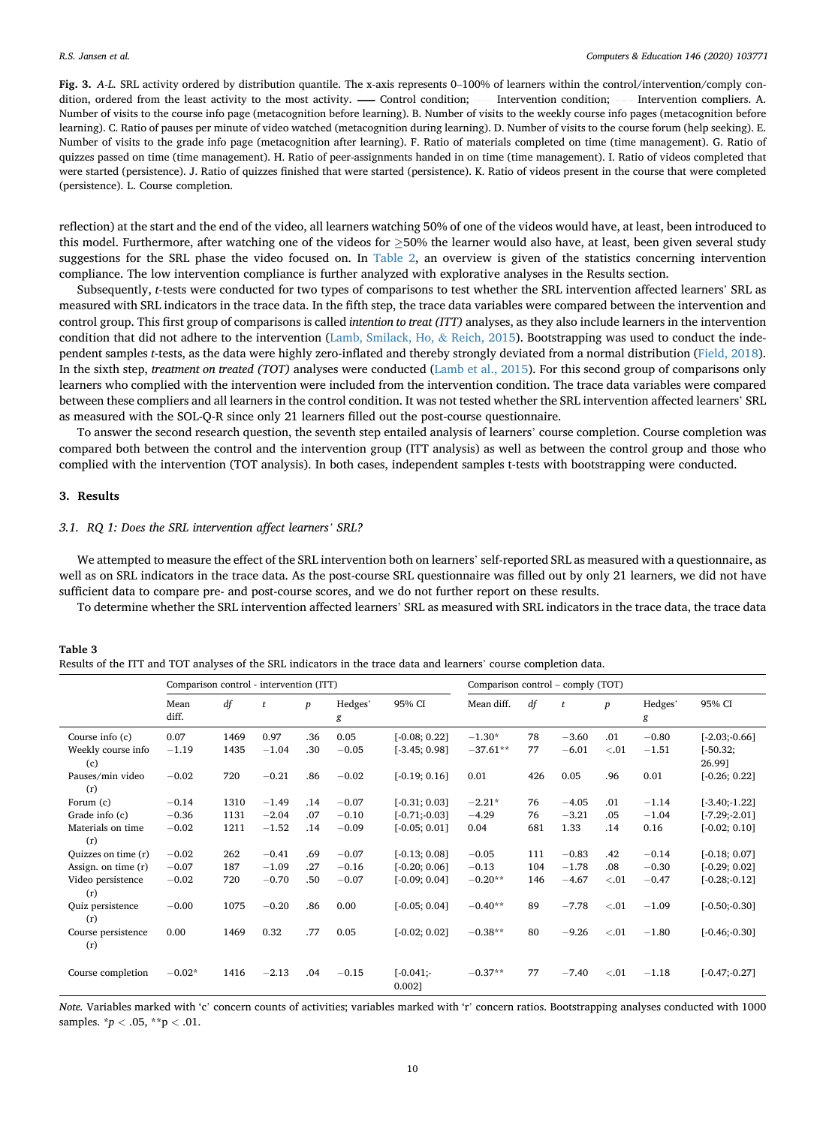<span id="page-9-0"></span>**Fig. 3.** *A-L.* SRL activity ordered by distribution quantile. The x-axis represents 0–100% of learners within the control/intervention/comply condition, ordered from the least activity to the most activity. - Control condition; --- Intervention condition; --- Intervention compliers. A. Number of visits to the course info page (metacognition before learning). B. Number of visits to the weekly course info pages (metacognition before learning). C. Ratio of pauses per minute of video watched (metacognition during learning). D. Number of visits to the course forum (help seeking). E. Number of visits to the grade info page (metacognition after learning). F. Ratio of materials completed on time (time management). G. Ratio of quizzes passed on time (time management). H. Ratio of peer-assignments handed in on time (time management). I. Ratio of videos completed that were started (persistence). J. Ratio of quizzes finished that were started (persistence). K. Ratio of videos present in the course that were completed (persistence). L. Course completion.

reflection) at the start and the end of the video, all learners watching 50% of one of the videos would have, at least, been introduced to this model. Furthermore, after watching one of the videos for  $>50\%$  the learner would also have, at least, been given several study suggestions for the SRL phase the video focused on. In [Table 2,](#page-7-0) an overview is given of the statistics concerning intervention compliance. The low intervention compliance is further analyzed with explorative analyses in the Results section.

Subsequently, *t-*tests were conducted for two types of comparisons to test whether the SRL intervention affected learners' SRL as measured with SRL indicators in the trace data. In the fifth step, the trace data variables were compared between the intervention and control group. This first group of comparisons is called *intention to treat (ITT)* analyses, as they also include learners in the intervention condition that did not adhere to the intervention ([Lamb, Smilack, Ho,](#page-15-0) & Reich, 2015). Bootstrapping was used to conduct the independent samples *t*-tests, as the data were highly zero-inflated and thereby strongly deviated from a normal distribution [\(Field, 2018](#page-15-0)). In the sixth step, *treatment on treated (TOT)* analyses were conducted [\(Lamb et al., 2015](#page-15-0)). For this second group of comparisons only learners who complied with the intervention were included from the intervention condition. The trace data variables were compared between these compliers and all learners in the control condition. It was not tested whether the SRL intervention affected learners' SRL as measured with the SOL-Q-R since only 21 learners filled out the post-course questionnaire.

To answer the second research question, the seventh step entailed analysis of learners' course completion. Course completion was compared both between the control and the intervention group (ITT analysis) as well as between the control group and those who complied with the intervention (TOT analysis). In both cases, independent samples t-tests with bootstrapping were conducted.

# **3. Results**

## *3.1. RQ 1: Does the SRL intervention affect learners' SRL?*

We attempted to measure the effect of the SRL intervention both on learners' self-reported SRL as measured with a questionnaire, as well as on SRL indicators in the trace data. As the post-course SRL questionnaire was filled out by only 21 learners, we did not have sufficient data to compare pre- and post-course scores, and we do not further report on these results.

To determine whether the SRL intervention affected learners' SRL as measured with SRL indicators in the trace data, the trace data

**Table 3** 

Results of the ITT and TOT analyses of the SRL indicators in the trace data and learners' course completion data.

|                           | Comparison control - intervention (ITT) |      |              |     |              |                      | Comparison control – comply (TOT) |     |              |                  |              |                      |  |  |
|---------------------------|-----------------------------------------|------|--------------|-----|--------------|----------------------|-----------------------------------|-----|--------------|------------------|--------------|----------------------|--|--|
|                           | Mean<br>diff.                           | df   | $\mathbf{r}$ | p   | Hedges'<br>g | 95% CI               | Mean diff.                        | df  | $\mathbf{r}$ | $\boldsymbol{p}$ | Hedges'<br>g | 95% CI               |  |  |
| Course info $(c)$         | 0.07                                    | 1469 | 0.97         | .36 | 0.05         | $[-0.08; 0.22]$      | $-1.30*$                          | 78  | $-3.60$      | .01              | $-0.80$      | $[-2.03; -0.66]$     |  |  |
| Weekly course info<br>(c) | $-1.19$                                 | 1435 | $-1.04$      | .30 | $-0.05$      | $[-3.45; 0.98]$      | $-37.61**$                        | 77  | $-6.01$      | $-.01$           | $-1.51$      | $[-50.32;$<br>26.991 |  |  |
| Pauses/min video<br>(r)   | $-0.02$                                 | 720  | $-0.21$      | .86 | $-0.02$      | $[-0.19; 0.16]$      | 0.01                              | 426 | 0.05         | .96              | 0.01         | $[-0.26; 0.22]$      |  |  |
| Forum $(c)$               | $-0.14$                                 | 1310 | $-1.49$      | .14 | $-0.07$      | $[-0.31; 0.03]$      | $-2.21*$                          | 76  | $-4.05$      | .01              | $-1.14$      | $[-3.40; -1.22]$     |  |  |
| Grade info (c)            | $-0.36$                                 | 1131 | $-2.04$      | .07 | $-0.10$      | $[-0.71; -0.03]$     | $-4.29$                           | 76  | $-3.21$      | .05              | $-1.04$      | $[-7.29; -2.01]$     |  |  |
| Materials on time<br>(r)  | $-0.02$                                 | 1211 | $-1.52$      | .14 | $-0.09$      | $[-0.05; 0.01]$      | 0.04                              | 681 | 1.33         | .14              | 0.16         | $[-0.02; 0.10]$      |  |  |
| Quizzes on time (r)       | $-0.02$                                 | 262  | $-0.41$      | .69 | $-0.07$      | $[-0.13; 0.08]$      | $-0.05$                           | 111 | $-0.83$      | .42              | $-0.14$      | $[-0.18; 0.07]$      |  |  |
| Assign. on time (r)       | $-0.07$                                 | 187  | $-1.09$      | .27 | $-0.16$      | $[-0.20; 0.06]$      | $-0.13$                           | 104 | $-1.78$      | .08              | $-0.30$      | $[-0.29; 0.02]$      |  |  |
| Video persistence<br>(r)  | $-0.02$                                 | 720  | $-0.70$      | .50 | $-0.07$      | $[-0.09; 0.04]$      | $-0.20**$                         | 146 | $-4.67$      | < 0.01           | $-0.47$      | $[-0.28; -0.12]$     |  |  |
| Quiz persistence<br>(r)   | $-0.00$                                 | 1075 | $-0.20$      | .86 | 0.00         | $[-0.05; 0.04]$      | $-0.40**$                         | 89  | $-7.78$      | < 0.01           | $-1.09$      | $[-0.50; -0.30]$     |  |  |
| Course persistence<br>(r) | 0.00                                    | 1469 | 0.32         | .77 | 0.05         | $[-0.02; 0.02]$      | $-0.38**$                         | 80  | $-9.26$      | < 0.01           | $-1.80$      | $[-0.46; -0.30]$     |  |  |
| Course completion         | $-0.02*$                                | 1416 | $-2.13$      | .04 | $-0.15$      | $[-0.041]$<br>0.002] | $-0.37**$                         | 77  | $-7.40$      | < 0.01           | $-1.18$      | $[-0.47; -0.27]$     |  |  |

*Note.* Variables marked with 'c' concern counts of activities; variables marked with 'r' concern ratios. Bootstrapping analyses conducted with 1000 samples. \**p <* .05, \*\*p *<* .01.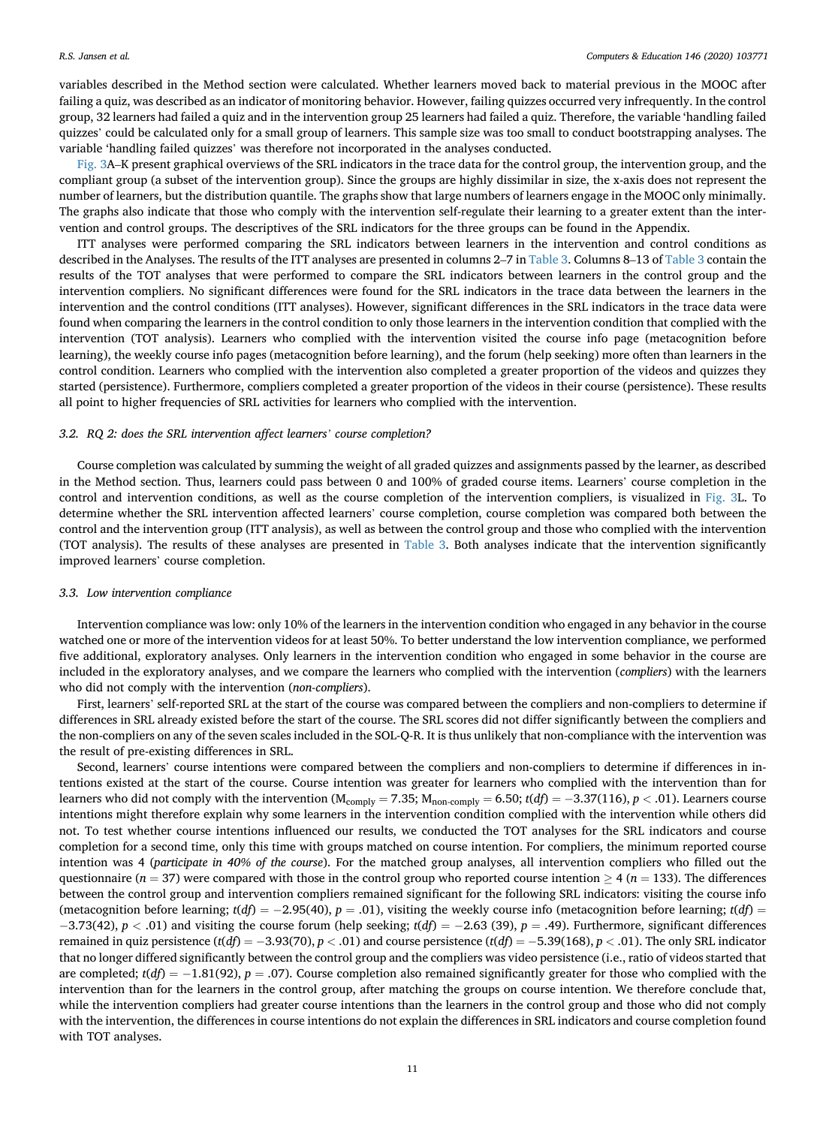variables described in the Method section were calculated. Whether learners moved back to material previous in the MOOC after failing a quiz, was described as an indicator of monitoring behavior. However, failing quizzes occurred very infrequently. In the control group, 32 learners had failed a quiz and in the intervention group 25 learners had failed a quiz. Therefore, the variable 'handling failed quizzes' could be calculated only for a small group of learners. This sample size was too small to conduct bootstrapping analyses. The variable 'handling failed quizzes' was therefore not incorporated in the analyses conducted.

[Fig. 3](#page-8-0)A–K present graphical overviews of the SRL indicators in the trace data for the control group, the intervention group, and the compliant group (a subset of the intervention group). Since the groups are highly dissimilar in size, the x-axis does not represent the number of learners, but the distribution quantile. The graphs show that large numbers of learners engage in the MOOC only minimally. The graphs also indicate that those who comply with the intervention self-regulate their learning to a greater extent than the intervention and control groups. The descriptives of the SRL indicators for the three groups can be found in the Appendix.

ITT analyses were performed comparing the SRL indicators between learners in the intervention and control conditions as described in the Analyses. The results of the ITT analyses are presented in columns 2–7 in [Table 3](#page-9-0). Columns 8–13 of [Table 3](#page-9-0) contain the results of the TOT analyses that were performed to compare the SRL indicators between learners in the control group and the intervention compliers. No significant differences were found for the SRL indicators in the trace data between the learners in the intervention and the control conditions (ITT analyses). However, significant differences in the SRL indicators in the trace data were found when comparing the learners in the control condition to only those learners in the intervention condition that complied with the intervention (TOT analysis). Learners who complied with the intervention visited the course info page (metacognition before learning), the weekly course info pages (metacognition before learning), and the forum (help seeking) more often than learners in the control condition. Learners who complied with the intervention also completed a greater proportion of the videos and quizzes they started (persistence). Furthermore, compliers completed a greater proportion of the videos in their course (persistence). These results all point to higher frequencies of SRL activities for learners who complied with the intervention.

#### *3.2. RQ 2: does the SRL intervention affect learners' course completion?*

Course completion was calculated by summing the weight of all graded quizzes and assignments passed by the learner, as described in the Method section. Thus, learners could pass between 0 and 100% of graded course items. Learners' course completion in the control and intervention conditions, as well as the course completion of the intervention compliers, is visualized in [Fig. 3](#page-8-0)L. To determine whether the SRL intervention affected learners' course completion, course completion was compared both between the control and the intervention group (ITT analysis), as well as between the control group and those who complied with the intervention (TOT analysis). The results of these analyses are presented in [Table 3.](#page-9-0) Both analyses indicate that the intervention significantly improved learners' course completion.

# *3.3. Low intervention compliance*

Intervention compliance was low: only 10% of the learners in the intervention condition who engaged in any behavior in the course watched one or more of the intervention videos for at least 50%. To better understand the low intervention compliance, we performed five additional, exploratory analyses. Only learners in the intervention condition who engaged in some behavior in the course are included in the exploratory analyses, and we compare the learners who complied with the intervention (*compliers*) with the learners who did not comply with the intervention (*non-compliers*).

First, learners' self-reported SRL at the start of the course was compared between the compliers and non-compliers to determine if differences in SRL already existed before the start of the course. The SRL scores did not differ significantly between the compliers and the non-compliers on any of the seven scales included in the SOL-Q-R. It is thus unlikely that non-compliance with the intervention was the result of pre-existing differences in SRL.

Second, learners' course intentions were compared between the compliers and non-compliers to determine if differences in intentions existed at the start of the course. Course intention was greater for learners who complied with the intervention than for learners who did not comply with the intervention  $(M_{\text{complex}} = 7.35; M_{\text{non-comply}} = 6.50; t(df) = -3.37(116), p < .01$ ). Learners course intentions might therefore explain why some learners in the intervention condition complied with the intervention while others did not. To test whether course intentions influenced our results, we conducted the TOT analyses for the SRL indicators and course completion for a second time, only this time with groups matched on course intention. For compliers, the minimum reported course intention was 4 (*participate in 40% of the course*). For the matched group analyses, all intervention compliers who filled out the questionnaire ( $n = 37$ ) were compared with those in the control group who reported course intention  $\geq 4$  ( $n = 133$ ). The differences between the control group and intervention compliers remained significant for the following SRL indicators: visiting the course info (metacognition before learning;  $t(df) = -2.95(40), p = .01$ ), visiting the weekly course info (metacognition before learning;  $t(df) =$  $-3.73(42)$ ,  $p < .01$ ) and visiting the course forum (help seeking;  $t(df) = -2.63(39)$ ,  $p = .49$ ). Furthermore, significant differences remained in quiz persistence ( $t(df) = -3.93(70)$ ,  $p < .01$ ) and course persistence ( $t(df) = -5.39(168)$ ,  $p < .01$ ). The only SRL indicator that no longer differed significantly between the control group and the compliers was video persistence (i.e., ratio of videos started that are completed;  $t(df) = -1.81(92)$ ,  $p = .07$ ). Course completion also remained significantly greater for those who complied with the intervention than for the learners in the control group, after matching the groups on course intention. We therefore conclude that, while the intervention compliers had greater course intentions than the learners in the control group and those who did not comply with the intervention, the differences in course intentions do not explain the differences in SRL indicators and course completion found with TOT analyses.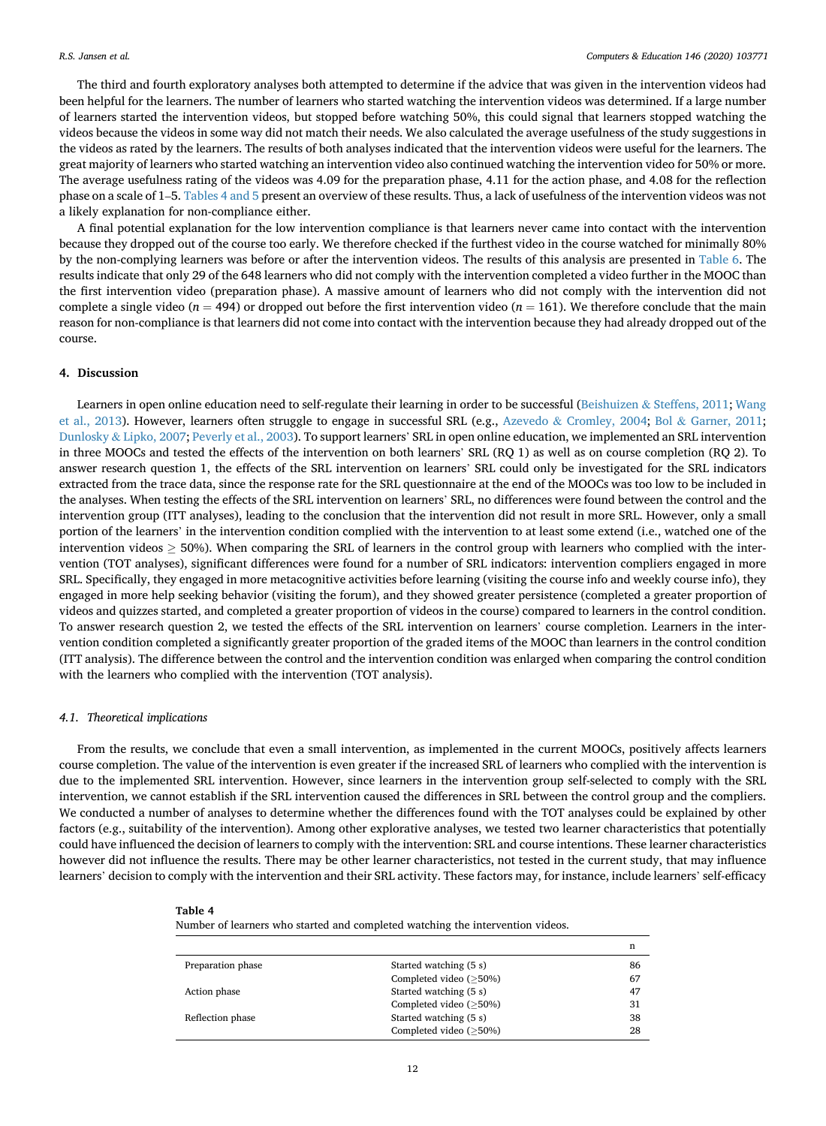The third and fourth exploratory analyses both attempted to determine if the advice that was given in the intervention videos had been helpful for the learners. The number of learners who started watching the intervention videos was determined. If a large number of learners started the intervention videos, but stopped before watching 50%, this could signal that learners stopped watching the videos because the videos in some way did not match their needs. We also calculated the average usefulness of the study suggestions in the videos as rated by the learners. The results of both analyses indicated that the intervention videos were useful for the learners. The great majority of learners who started watching an intervention video also continued watching the intervention video for 50% or more. The average usefulness rating of the videos was 4.09 for the preparation phase, 4.11 for the action phase, and 4.08 for the reflection phase on a scale of 1–5. Tables 4 and 5 present an overview of these results. Thus, a lack of usefulness of the intervention videos was not a likely explanation for non-compliance either.

A final potential explanation for the low intervention compliance is that learners never came into contact with the intervention because they dropped out of the course too early. We therefore checked if the furthest video in the course watched for minimally 80% by the non-complying learners was before or after the intervention videos. The results of this analysis are presented in [Table 6](#page-12-0). The results indicate that only 29 of the 648 learners who did not comply with the intervention completed a video further in the MOOC than the first intervention video (preparation phase). A massive amount of learners who did not comply with the intervention did not complete a single video ( $n = 494$ ) or dropped out before the first intervention video ( $n = 161$ ). We therefore conclude that the main reason for non-compliance is that learners did not come into contact with the intervention because they had already dropped out of the course.

# **4. Discussion**

Learners in open online education need to self-regulate their learning in order to be successful (Beishuizen & [Steffens, 2011;](#page-14-0) [Wang](#page-16-0) [et al., 2013](#page-16-0)). However, learners often struggle to engage in successful SRL (e.g., Azevedo & [Cromley, 2004;](#page-14-0) Bol & [Garner, 2011](#page-14-0); Dunlosky & [Lipko, 2007; Peverly et al., 2003\)](#page-15-0). To support learners' SRL in open online education, we implemented an SRL intervention in three MOOCs and tested the effects of the intervention on both learners' SRL (RQ 1) as well as on course completion (RQ 2). To answer research question 1, the effects of the SRL intervention on learners' SRL could only be investigated for the SRL indicators extracted from the trace data, since the response rate for the SRL questionnaire at the end of the MOOCs was too low to be included in the analyses. When testing the effects of the SRL intervention on learners' SRL, no differences were found between the control and the intervention group (ITT analyses), leading to the conclusion that the intervention did not result in more SRL. However, only a small portion of the learners' in the intervention condition complied with the intervention to at least some extend (i.e., watched one of the intervention videos  $>$  50%). When comparing the SRL of learners in the control group with learners who complied with the intervention (TOT analyses), significant differences were found for a number of SRL indicators: intervention compliers engaged in more SRL. Specifically, they engaged in more metacognitive activities before learning (visiting the course info and weekly course info), they engaged in more help seeking behavior (visiting the forum), and they showed greater persistence (completed a greater proportion of videos and quizzes started, and completed a greater proportion of videos in the course) compared to learners in the control condition. To answer research question 2, we tested the effects of the SRL intervention on learners' course completion. Learners in the intervention condition completed a significantly greater proportion of the graded items of the MOOC than learners in the control condition (ITT analysis). The difference between the control and the intervention condition was enlarged when comparing the control condition with the learners who complied with the intervention (TOT analysis).

# *4.1. Theoretical implications*

From the results, we conclude that even a small intervention, as implemented in the current MOOCs, positively affects learners course completion. The value of the intervention is even greater if the increased SRL of learners who complied with the intervention is due to the implemented SRL intervention. However, since learners in the intervention group self-selected to comply with the SRL intervention, we cannot establish if the SRL intervention caused the differences in SRL between the control group and the compliers. We conducted a number of analyses to determine whether the differences found with the TOT analyses could be explained by other factors (e.g., suitability of the intervention). Among other explorative analyses, we tested two learner characteristics that potentially could have influenced the decision of learners to comply with the intervention: SRL and course intentions. These learner characteristics however did not influence the results. There may be other learner characteristics, not tested in the current study, that may influence learners' decision to comply with the intervention and their SRL activity. These factors may, for instance, include learners' self-efficacy

## **Table 4**

Number of learners who started and completed watching the intervention videos.

|                   |                        | n  |
|-------------------|------------------------|----|
| Preparation phase | Started watching (5 s) | 86 |
|                   | Completed video (>50%) | 67 |
| Action phase      | Started watching (5 s) | 47 |
|                   | Completed video (>50%) | 31 |
| Reflection phase  | Started watching (5 s) | 38 |
|                   | Completed video (>50%) | 28 |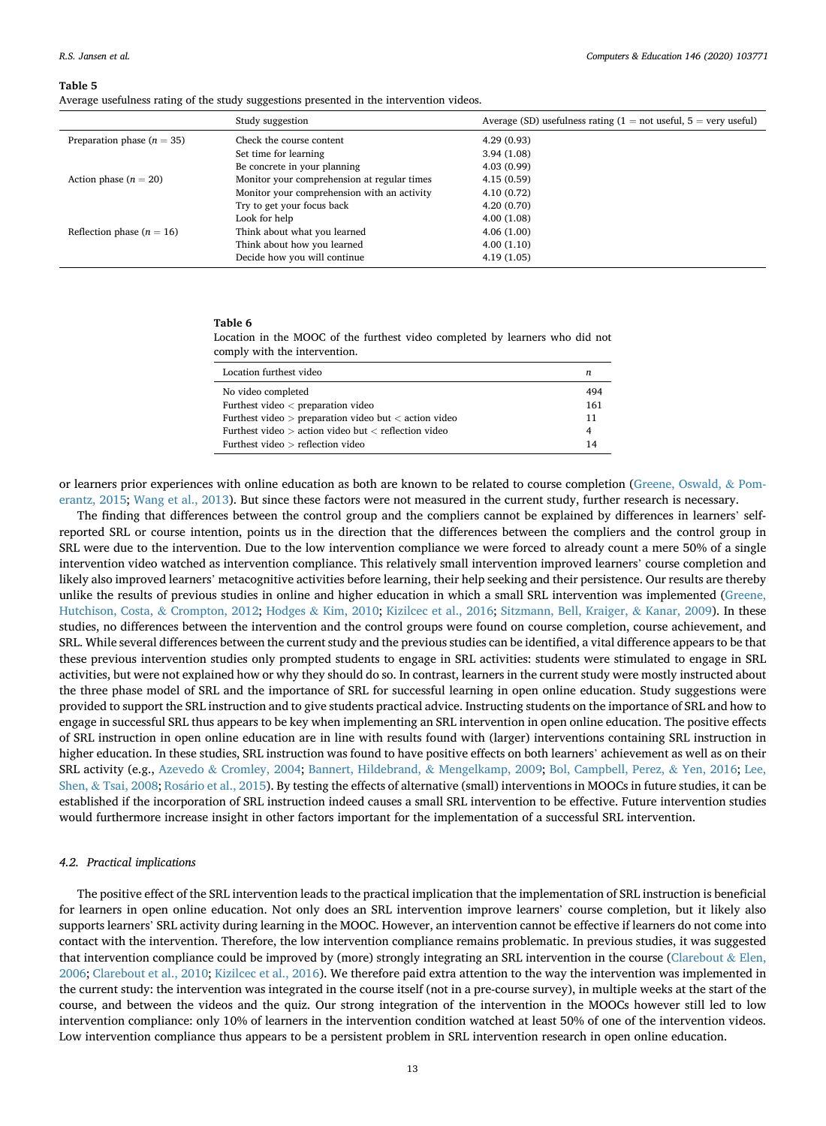#### <span id="page-12-0"></span>**Table 5**

Average usefulness rating of the study suggestions presented in the intervention videos.

|                              | Study suggestion                            | Average (SD) usefulness rating $(1 = not useful, 5 = very useful)$ |
|------------------------------|---------------------------------------------|--------------------------------------------------------------------|
| Preparation phase $(n = 35)$ | Check the course content                    | 4.29(0.93)                                                         |
|                              | Set time for learning                       | 3.94(1.08)                                                         |
|                              | Be concrete in your planning                | 4.03(0.99)                                                         |
| Action phase $(n = 20)$      | Monitor your comprehension at regular times | 4.15(0.59)                                                         |
|                              | Monitor your comprehension with an activity | 4.10(0.72)                                                         |
|                              | Try to get your focus back                  | 4.20(0.70)                                                         |
|                              | Look for help                               | 4.00(1.08)                                                         |
| Reflection phase $(n = 16)$  | Think about what you learned                | 4.06(1.00)                                                         |
|                              | Think about how you learned                 | 4.00(1.10)                                                         |
|                              | Decide how you will continue                | 4.19(1.05)                                                         |

#### **Table 6**

Location in the MOOC of the furthest video completed by learners who did not comply with the intervention.

| Location furthest video                                   | n   |
|-----------------------------------------------------------|-----|
| No video completed                                        | 494 |
| Furthest video $\langle$ preparation video                | 161 |
| Furthest video $>$ preparation video but $<$ action video | 11  |
| Furthest video $>$ action video but $<$ reflection video  | 4   |
| Furthest video > reflection video                         | 14  |
|                                                           |     |

or learners prior experiences with online education as both are known to be related to course completion ([Greene, Oswald,](#page-15-0) & Pom[erantz, 2015;](#page-15-0) [Wang et al., 2013\)](#page-16-0). But since these factors were not measured in the current study, further research is necessary.

The finding that differences between the control group and the compliers cannot be explained by differences in learners' selfreported SRL or course intention, points us in the direction that the differences between the compliers and the control group in SRL were due to the intervention. Due to the low intervention compliance we were forced to already count a mere 50% of a single intervention video watched as intervention compliance. This relatively small intervention improved learners' course completion and likely also improved learners' metacognitive activities before learning, their help seeking and their persistence. Our results are thereby unlike the results of previous studies in online and higher education in which a small SRL intervention was implemented [\(Greene,](#page-15-0) [Hutchison, Costa,](#page-15-0) & Crompton, 2012; Hodges & [Kim, 2010;](#page-15-0) [Kizilcec et al., 2016](#page-15-0); [Sitzmann, Bell, Kraiger,](#page-16-0) & Kanar, 2009). In these studies, no differences between the intervention and the control groups were found on course completion, course achievement, and SRL. While several differences between the current study and the previous studies can be identified, a vital difference appears to be that these previous intervention studies only prompted students to engage in SRL activities: students were stimulated to engage in SRL activities, but were not explained how or why they should do so. In contrast, learners in the current study were mostly instructed about the three phase model of SRL and the importance of SRL for successful learning in open online education. Study suggestions were provided to support the SRL instruction and to give students practical advice. Instructing students on the importance of SRL and how to engage in successful SRL thus appears to be key when implementing an SRL intervention in open online education. The positive effects of SRL instruction in open online education are in line with results found with (larger) interventions containing SRL instruction in higher education. In these studies, SRL instruction was found to have positive effects on both learners' achievement as well as on their SRL activity (e.g., Azevedo & [Cromley, 2004; Bannert, Hildebrand,](#page-14-0) & Mengelkamp, 2009; [Bol, Campbell, Perez,](#page-14-0) & Yen, 2016; [Lee,](#page-15-0) Shen, & [Tsai, 2008](#page-15-0); Rosário [et al., 2015\)](#page-16-0). By testing the effects of alternative (small) interventions in MOOCs in future studies, it can be established if the incorporation of SRL instruction indeed causes a small SRL intervention to be effective. Future intervention studies would furthermore increase insight in other factors important for the implementation of a successful SRL intervention.

# *4.2. Practical implications*

The positive effect of the SRL intervention leads to the practical implication that the implementation of SRL instruction is beneficial for learners in open online education. Not only does an SRL intervention improve learners' course completion, but it likely also supports learners' SRL activity during learning in the MOOC. However, an intervention cannot be effective if learners do not come into contact with the intervention. Therefore, the low intervention compliance remains problematic. In previous studies, it was suggested that intervention compliance could be improved by (more) strongly integrating an SRL intervention in the course ([Clarebout](#page-15-0)  $\&$  Elen, [2006; Clarebout et al., 2010](#page-15-0); [Kizilcec et al., 2016\)](#page-15-0). We therefore paid extra attention to the way the intervention was implemented in the current study: the intervention was integrated in the course itself (not in a pre-course survey), in multiple weeks at the start of the course, and between the videos and the quiz. Our strong integration of the intervention in the MOOCs however still led to low intervention compliance: only 10% of learners in the intervention condition watched at least 50% of one of the intervention videos. Low intervention compliance thus appears to be a persistent problem in SRL intervention research in open online education.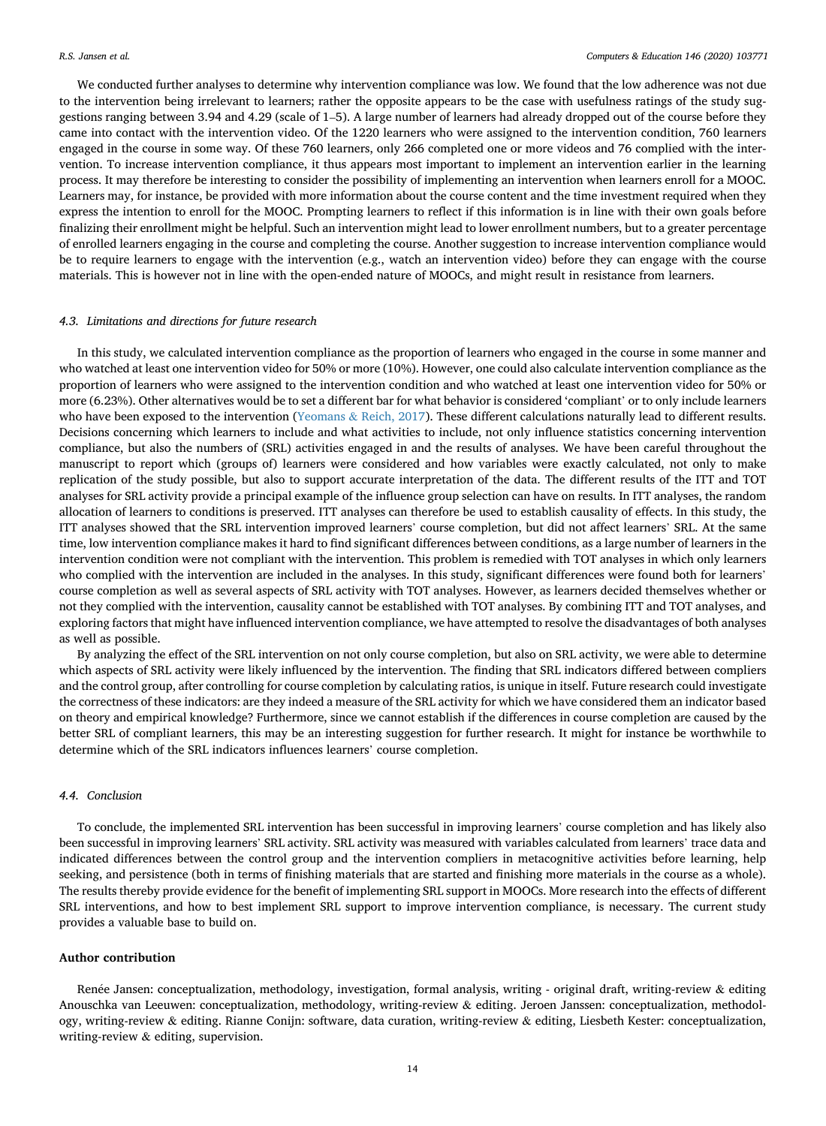We conducted further analyses to determine why intervention compliance was low. We found that the low adherence was not due to the intervention being irrelevant to learners; rather the opposite appears to be the case with usefulness ratings of the study suggestions ranging between 3.94 and 4.29 (scale of 1–5). A large number of learners had already dropped out of the course before they came into contact with the intervention video. Of the 1220 learners who were assigned to the intervention condition, 760 learners engaged in the course in some way. Of these 760 learners, only 266 completed one or more videos and 76 complied with the intervention. To increase intervention compliance, it thus appears most important to implement an intervention earlier in the learning process. It may therefore be interesting to consider the possibility of implementing an intervention when learners enroll for a MOOC. Learners may, for instance, be provided with more information about the course content and the time investment required when they express the intention to enroll for the MOOC. Prompting learners to reflect if this information is in line with their own goals before finalizing their enrollment might be helpful. Such an intervention might lead to lower enrollment numbers, but to a greater percentage of enrolled learners engaging in the course and completing the course. Another suggestion to increase intervention compliance would be to require learners to engage with the intervention (e.g., watch an intervention video) before they can engage with the course materials. This is however not in line with the open-ended nature of MOOCs, and might result in resistance from learners.

## *4.3. Limitations and directions for future research*

In this study, we calculated intervention compliance as the proportion of learners who engaged in the course in some manner and who watched at least one intervention video for 50% or more (10%). However, one could also calculate intervention compliance as the proportion of learners who were assigned to the intervention condition and who watched at least one intervention video for 50% or more (6.23%). Other alternatives would be to set a different bar for what behavior is considered 'compliant' or to only include learners who have been exposed to the intervention (Yeomans & [Reich, 2017\)](#page-16-0). These different calculations naturally lead to different results. Decisions concerning which learners to include and what activities to include, not only influence statistics concerning intervention compliance, but also the numbers of (SRL) activities engaged in and the results of analyses. We have been careful throughout the manuscript to report which (groups of) learners were considered and how variables were exactly calculated, not only to make replication of the study possible, but also to support accurate interpretation of the data. The different results of the ITT and TOT analyses for SRL activity provide a principal example of the influence group selection can have on results. In ITT analyses, the random allocation of learners to conditions is preserved. ITT analyses can therefore be used to establish causality of effects. In this study, the ITT analyses showed that the SRL intervention improved learners' course completion, but did not affect learners' SRL. At the same time, low intervention compliance makes it hard to find significant differences between conditions, as a large number of learners in the intervention condition were not compliant with the intervention. This problem is remedied with TOT analyses in which only learners who complied with the intervention are included in the analyses. In this study, significant differences were found both for learners' course completion as well as several aspects of SRL activity with TOT analyses. However, as learners decided themselves whether or not they complied with the intervention, causality cannot be established with TOT analyses. By combining ITT and TOT analyses, and exploring factors that might have influenced intervention compliance, we have attempted to resolve the disadvantages of both analyses as well as possible.

By analyzing the effect of the SRL intervention on not only course completion, but also on SRL activity, we were able to determine which aspects of SRL activity were likely influenced by the intervention. The finding that SRL indicators differed between compliers and the control group, after controlling for course completion by calculating ratios, is unique in itself. Future research could investigate the correctness of these indicators: are they indeed a measure of the SRL activity for which we have considered them an indicator based on theory and empirical knowledge? Furthermore, since we cannot establish if the differences in course completion are caused by the better SRL of compliant learners, this may be an interesting suggestion for further research. It might for instance be worthwhile to determine which of the SRL indicators influences learners' course completion.

## *4.4. Conclusion*

To conclude, the implemented SRL intervention has been successful in improving learners' course completion and has likely also been successful in improving learners' SRL activity. SRL activity was measured with variables calculated from learners' trace data and indicated differences between the control group and the intervention compliers in metacognitive activities before learning, help seeking, and persistence (both in terms of finishing materials that are started and finishing more materials in the course as a whole). The results thereby provide evidence for the benefit of implementing SRL support in MOOCs. More research into the effects of different SRL interventions, and how to best implement SRL support to improve intervention compliance, is necessary. The current study provides a valuable base to build on.

# **Author contribution**

Renée Jansen: conceptualization, methodology, investigation, formal analysis, writing - original draft, writing-review & editing Anouschka van Leeuwen: conceptualization, methodology, writing-review & editing. Jeroen Janssen: conceptualization, methodology, writing-review & editing. Rianne Conijn: software, data curation, writing-review & editing, Liesbeth Kester: conceptualization, writing-review & editing, supervision.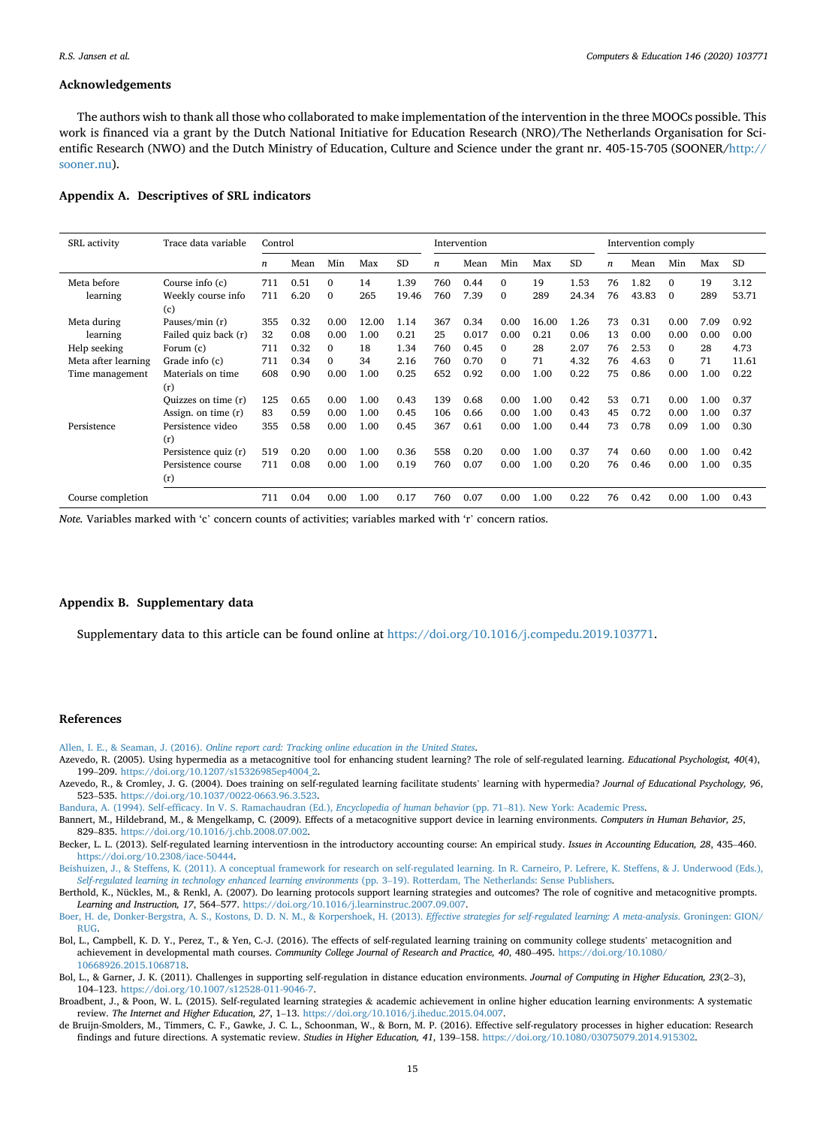#### <span id="page-14-0"></span>**Acknowledgements**

The authors wish to thank all those who collaborated to make implementation of the intervention in the three MOOCs possible. This work is financed via a grant by the Dutch National Initiative for Education Research (NRO)/The Netherlands Organisation for Scientific Research (NWO) and the Dutch Ministry of Education, Culture and Science under the grant nr. 405-15-705 (SOONER/http:// sooner.nu).

# **Appendix A. Descriptives of SRL indicators**

| <b>SRL</b> activity | Trace data variable       | Control          |      |          |       | Intervention |     |       |          | Intervention comply |           |    |       |          |      |           |
|---------------------|---------------------------|------------------|------|----------|-------|--------------|-----|-------|----------|---------------------|-----------|----|-------|----------|------|-----------|
|                     |                           | $\boldsymbol{n}$ | Mean | Min      | Max   | <b>SD</b>    | n   | Mean  | Min      | Max                 | <b>SD</b> | n  | Mean  | Min      | Max  | <b>SD</b> |
| Meta before         | Course info $(c)$         | 711              | 0.51 | $\Omega$ | 14    | 1.39         | 760 | 0.44  | $\Omega$ | 19                  | 1.53      | 76 | 1.82  | $\Omega$ | 19   | 3.12      |
| learning            | Weekly course info<br>(c) | 711              | 6.20 | $\Omega$ | 265   | 19.46        | 760 | 7.39  | $\Omega$ | 289                 | 24.34     | 76 | 43.83 | $\Omega$ | 289  | 53.71     |
| Meta during         | Pauses/ $min(r)$          | 355              | 0.32 | 0.00     | 12.00 | 1.14         | 367 | 0.34  | 0.00     | 16.00               | 1.26      | 73 | 0.31  | 0.00     | 7.09 | 0.92      |
| learning            | Failed quiz back (r)      | 32               | 0.08 | 0.00     | 1.00  | 0.21         | 25  | 0.017 | 0.00     | 0.21                | 0.06      | 13 | 0.00  | 0.00     | 0.00 | 0.00      |
| Help seeking        | Forum (c)                 | 711              | 0.32 | $\Omega$ | 18    | 1.34         | 760 | 0.45  | 0        | 28                  | 2.07      | 76 | 2.53  | 0        | 28   | 4.73      |
| Meta after learning | Grade info (c)            | 711              | 0.34 | $\Omega$ | 34    | 2.16         | 760 | 0.70  | $\Omega$ | 71                  | 4.32      | 76 | 4.63  |          | 71   | 11.61     |
| Time management     | Materials on time         | 608              | 0.90 | 0.00     | 1.00  | 0.25         | 652 | 0.92  | 0.00     | 1.00                | 0.22      | 75 | 0.86  | 0.00     | 1.00 | 0.22      |
|                     | (r)                       |                  |      |          |       |              |     |       |          |                     |           |    |       |          |      |           |
|                     | Quizzes on time (r)       | 125              | 0.65 | 0.00     | 1.00  | 0.43         | 139 | 0.68  | 0.00     | 1.00                | 0.42      | 53 | 0.71  | 0.00     | 1.00 | 0.37      |
|                     | Assign, on time $(r)$     | 83               | 0.59 | 0.00     | 1.00  | 0.45         | 106 | 0.66  | 0.00     | 1.00                | 0.43      | 45 | 0.72  | 0.00     | 1.00 | 0.37      |
| Persistence         | Persistence video         | 355              | 0.58 | 0.00     | 1.00  | 0.45         | 367 | 0.61  | 0.00     | 1.00                | 0.44      | 73 | 0.78  | 0.09     | 1.00 | 0.30      |
|                     | (r)                       |                  |      |          |       |              |     |       |          |                     |           |    |       |          |      |           |
|                     | Persistence quiz (r)      | 519              | 0.20 | 0.00     | 1.00  | 0.36         | 558 | 0.20  | 0.00     | 1.00                | 0.37      | 74 | 0.60  | 0.00     | 1.00 | 0.42      |
|                     | Persistence course        | 711              | 0.08 | 0.00     | 1.00  | 0.19         | 760 | 0.07  | 0.00     | 1.00                | 0.20      | 76 | 0.46  | 0.00     | 1.00 | 0.35      |
|                     | (r)                       |                  |      |          |       |              |     |       |          |                     |           |    |       |          |      |           |
| Course completion   |                           | 711              | 0.04 | 0.00     | 1.00  | 0.17         | 760 | 0.07  | 0.00     | 1.00                | 0.22      | 76 | 0.42  | 0.00     | 1.00 | 0.43      |

*Note.* Variables marked with 'c' concern counts of activities; variables marked with 'r' concern ratios.

## **Appendix B. Supplementary data**

Supplementary data to this article can be found online at https://doi.org/10.1016/j.compedu.2019.103771.

#### **References**

Allen, I. E., & Seaman, J. (2016). *Online report card: Tracking online education in the United States*.

- Azevedo, R. (2005). Using hypermedia as a metacognitive tool for enhancing student learning? The role of self-regulated learning. *Educational Psychologist, 40*(4), 199–209. https://doi.org/10.1207/s15326985ep4004\_2.
- Azevedo, R., & Cromley, J. G. (2004). Does training on self-regulated learning facilitate students' learning with hypermedia? *Journal of Educational Psychology, 96*, 523–535. https://doi.org/10.1037/0022-0663.96.3.523.
- Bandura, A. (1994). Self-efficacy. In V. S. Ramachaudran (Ed.), *Encyclopedia of human behavior* (pp. 71–81). New York: Academic Press.
- Bannert, M., Hildebrand, M., & Mengelkamp, C. (2009). Effects of a metacognitive support device in learning environments. *Computers in Human Behavior, 25*, 829–835. https://doi.org/10.1016/j.chb.2008.07.002.

Becker, L. L. (2013). Self-regulated learning interventiosn in the introductory accounting course: An empirical study. *Issues in Accounting Education, 28*, 435–460. https://doi.org/10.2308/iace-50444.

Beishuizen, J., & Steffens, K. (2011). A conceptual framework for research on self-regulated learning. In R. Carneiro, P. Lefrere, K. Steffens, & J. Underwood (Eds.), *Self-regulated learning in technology enhanced learning environments* (pp. 3–19). Rotterdam, The Netherlands: Sense Publishers.

Berthold, K., Nückles, M., & Renkl, A. (2007). Do learning protocols support learning strategies and outcomes? The role of cognitive and metacognitive prompts. *Learning and Instruction, 17*, 564–577. https://doi.org/10.1016/j.learninstruc.2007.09.007.

Boer, H. de, Donker-Bergstra, A. S., Kostons, D. D. N. M., & Korpershoek, H. (2013). *Effective strategies for self-regulated learning: A meta-analysis*. Groningen: GION/ RUG.

Bol, L., Campbell, K. D. Y., Perez, T., & Yen, C.-J. (2016). The effects of self-regulated learning training on community college students' metacognition and achievement in developmental math courses. *Community College Journal of Research and Practice, 40*, 480–495. https://doi.org/10.1080/ 10668926.2015.1068718.

Bol, L., & Garner, J. K. (2011). Challenges in supporting self-regulation in distance education environments. *Journal of Computing in Higher Education, 23*(2–3), 104–123. https://doi.org/10.1007/s12528-011-9046-7.

Broadbent, J., & Poon, W. L. (2015). Self-regulated learning strategies & academic achievement in online higher education learning environments: A systematic review. *The Internet and Higher Education, 27*, 1–13. https://doi.org/10.1016/j.iheduc.2015.04.007.

de Bruijn-Smolders, M., Timmers, C. F., Gawke, J. C. L., Schoonman, W., & Born, M. P. (2016). Effective self-regulatory processes in higher education: Research findings and future directions. A systematic review. *Studies in Higher Education, 41*, 139–158. https://doi.org/10.1080/03075079.2014.915302.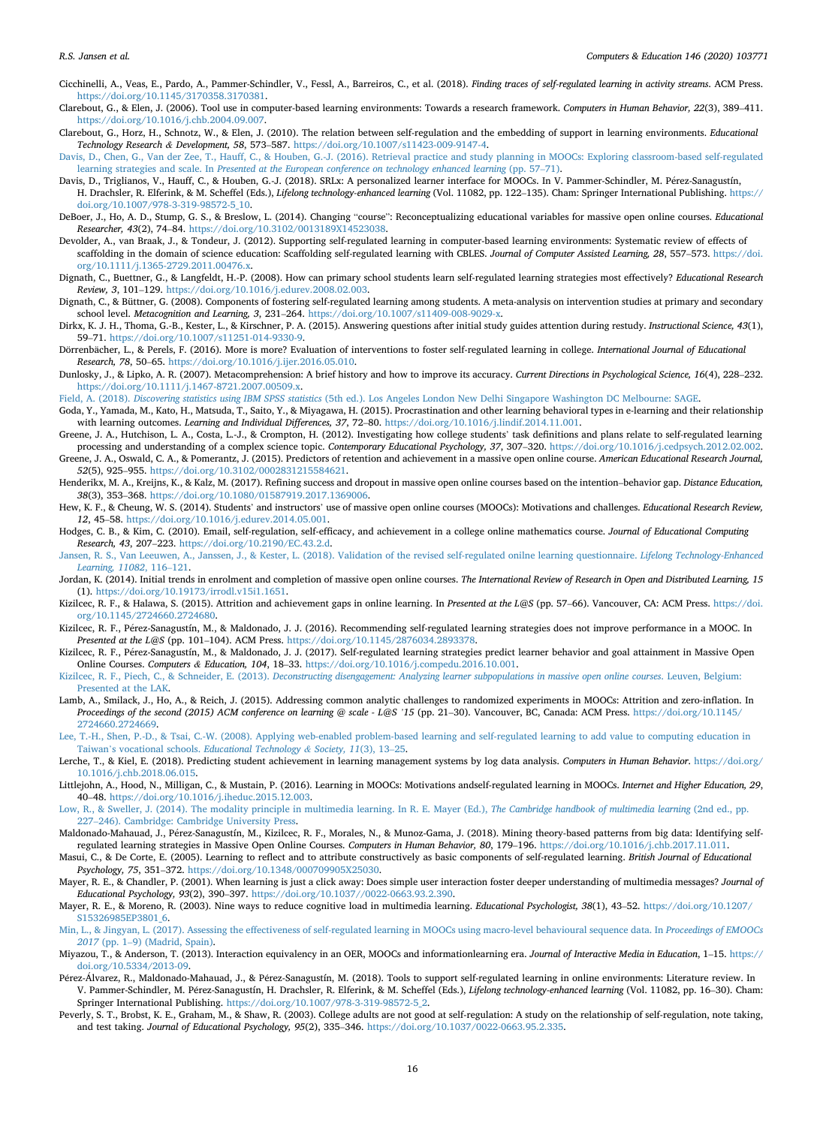- <span id="page-15-0"></span>Cicchinelli, A., Veas, E., Pardo, A., Pammer-Schindler, V., Fessl, A., Barreiros, C., et al. (2018). *Finding traces of self-regulated learning in activity streams*. ACM Press. https://doi.org/10.1145/3170358.3170381.
- Clarebout, G., & Elen, J. (2006). Tool use in computer-based learning environments: Towards a research framework. *Computers in Human Behavior, 22*(3), 389–411. https://doi.org/10.1016/j.chb.2004.09.007.
- Clarebout, G., Horz, H., Schnotz, W., & Elen, J. (2010). The relation between self-regulation and the embedding of support in learning environments. *Educational Technology Research & Development, 58*, 573–587. https://doi.org/10.1007/s11423-009-9147-4.
- Davis, D., Chen, G., Van der Zee, T., Hauff, C., & Houben, G.-J. (2016). Retrieval practice and study planning in MOOCs: Exploring classroom-based self-regulated learning strategies and scale. In *Presented at the European conference on technology enhanced learning* (pp. 57–71).
- Davis, D., Triglianos, V., Hauff, C., & Houben, G.-J. (2018). SRLx: A personalized learner interface for MOOCs. In V. Pammer-Schindler, M. Pérez-Sanagustín, H. Drachsler, R. Elferink, & M. Scheffel (Eds.), *Lifelong technology-enhanced learning* (Vol. 11082, pp. 122–135). Cham: Springer International Publishing. https:// doi.org/10.1007/978-3-319-98572-5\_10.
- DeBoer, J., Ho, A. D., Stump, G. S., & Breslow, L. (2014). Changing "course": Reconceptualizing educational variables for massive open online courses. *Educational Researcher, 43*(2), 74–84. https://doi.org/10.3102/0013189X14523038.
- Devolder, A., van Braak, J., & Tondeur, J. (2012). Supporting self-regulated learning in computer-based learning environments: Systematic review of effects of scaffolding in the domain of science education: Scaffolding self-regulated learning with CBLES. *Journal of Computer Assisted Learning, 28*, 557–573. https://doi. org/10.1111/j.1365-2729.2011.00476.x.
- Dignath, C., Buettner, G., & Langfeldt, H.-P. (2008). How can primary school students learn self-regulated learning strategies most effectively? *Educational Research Review, 3*, 101–129. https://doi.org/10.1016/j.edurev.2008.02.003.
- Dignath, C., & Büttner, G. (2008). Components of fostering self-regulated learning among students. A meta-analysis on intervention studies at primary and secondary school level. *Metacognition and Learning, 3*, 231–264. https://doi.org/10.1007/s11409-008-9029-x.
- Dirkx, K. J. H., Thoma, G.-B., Kester, L., & Kirschner, P. A. (2015). Answering questions after initial study guides attention during restudy. *Instructional Science, 43*(1), 59–71. https://doi.org/10.1007/s11251-014-9330-9.
- Dörrenbächer, L., & Perels, F. (2016). More is more? Evaluation of interventions to foster self-regulated learning in college. International Journal of Educational *Research, 78*, 50–65. https://doi.org/10.1016/j.ijer.2016.05.010.
- Dunlosky, J., & Lipko, A. R. (2007). Metacomprehension: A brief history and how to improve its accuracy. *Current Directions in Psychological Science, 16*(4), 228–232. https://doi.org/10.1111/j.1467-8721.2007.00509.x.
- Field, A. (2018). *Discovering statistics using IBM SPSS statistics* (5th ed.). Los Angeles London New Delhi Singapore Washington DC Melbourne: SAGE.
- Goda, Y., Yamada, M., Kato, H., Matsuda, T., Saito, Y., & Miyagawa, H. (2015). Procrastination and other learning behavioral types in e-learning and their relationship with learning outcomes. *Learning and Individual Differences, 37*, 72–80. https://doi.org/10.1016/j.lindif.2014.11.001.
- Greene, J. A., Hutchison, L. A., Costa, L.-J., & Crompton, H. (2012). Investigating how college students' task definitions and plans relate to self-regulated learning processing and understanding of a complex science topic. *Contemporary Educational Psychology, 37*, 307–320. https://doi.org/10.1016/j.cedpsych.2012.02.002.
- Greene, J. A., Oswald, C. A., & Pomerantz, J. (2015). Predictors of retention and achievement in a massive open online course. *American Educational Research Journal, 52*(5), 925–955. https://doi.org/10.3102/0002831215584621.
- Henderikx, M. A., Kreijns, K., & Kalz, M. (2017). Refining success and dropout in massive open online courses based on the intention–behavior gap. *Distance Education, 38*(3), 353–368. https://doi.org/10.1080/01587919.2017.1369006.
- Hew, K. F., & Cheung, W. S. (2014). Students' and instructors' use of massive open online courses (MOOCs): Motivations and challenges. *Educational Research Review, 12*, 45–58. https://doi.org/10.1016/j.edurev.2014.05.001.
- Hodges, C. B., & Kim, C. (2010). Email, self-regulation, self-efficacy, and achievement in a college online mathematics course. *Journal of Educational Computing Research, 43*, 207–223. https://doi.org/10.2190/EC.43.2.d.
- Jansen, R. S., Van Leeuwen, A., Janssen, J., & Kester, L. (2018). Validation of the revised self-regulated onilne learning questionnaire. *Lifelong Technology-Enhanced Learning, 11082*, 116–121.
- Jordan, K. (2014). Initial trends in enrolment and completion of massive open online courses. *The International Review of Research in Open and Distributed Learning, 15*  (1). https://doi.org/10.19173/irrodl.v15i1.1651.
- Kizilcec, R. F., & Halawa, S. (2015). Attrition and achievement gaps in online learning. In *Presented at the L@S* (pp. 57–66). Vancouver, CA: ACM Press. https://doi. org/10.1145/2724660.2724680.
- Kizilcec, R. F., Pérez-Sanagustín, M., & Maldonado, J. J. (2016). Recommending self-regulated learning strategies does not improve performance in a MOOC. In *Presented at the L@S* (pp. 101–104). ACM Press. https://doi.org/10.1145/2876034.2893378.
- Kizilcec, R. F., Pérez-Sanagustín, M., & Maldonado, J. J. (2017). Self-regulated learning strategies predict learner behavior and goal attainment in Massive Open Online Courses. *Computers & Education, 104*, 18–33. https://doi.org/10.1016/j.compedu.2016.10.001.
- Kizilcec, R. F., Piech, C., & Schneider, E. (2013). *Deconstructing disengagement: Analyzing learner subpopulations in massive open online courses*. Leuven, Belgium: Presented at the LAK.
- Lamb, A., Smilack, J., Ho, A., & Reich, J. (2015). Addressing common analytic challenges to randomized experiments in MOOCs: Attrition and zero-inflation. In *Proceedings of the second (2015) ACM conference on learning @ scale - L@S '15* (pp. 21–30). Vancouver, BC, Canada: ACM Press. https://doi.org/10.1145/ 2724660.2724669.
- Lee, T.-H., Shen, P.-D., & Tsai, C.-W. (2008). Applying web-enabled problem-based learning and self-regulated learning to add value to computing education in Taiwan's vocational schools. *Educational Technology & Society, 11*(3), 13–25.
- Lerche, T., & Kiel, E. (2018). Predicting student achievement in learning management systems by log data analysis. *Computers in Human Behavior*. https://doi.org/ 10.1016/j.chb.2018.06.015.
- Littlejohn, A., Hood, N., Milligan, C., & Mustain, P. (2016). Learning in MOOCs: Motivations andself-regulated learning in MOOCs. *Internet and Higher Education, 29*, 40–48. https://doi.org/10.1016/j.iheduc.2015.12.003.
- Low, R., & Sweller, J. (2014). The modality principle in multimedia learning. In R. E. Mayer (Ed.), *The Cambridge handbook of multimedia learning* (2nd ed., pp. 227–246). Cambridge: Cambridge University Press.
- Maldonado-Mahauad, J., Pérez-Sanagustín, M., Kizilcec, R. F., Morales, N., & Munoz-Gama, J. (2018). Mining theory-based patterns from big data: Identifying selfregulated learning strategies in Massive Open Online Courses. *Computers in Human Behavior, 80*, 179–196. https://doi.org/10.1016/j.chb.2017.11.011.
- Masui, C., & De Corte, E. (2005). Learning to reflect and to attribute constructively as basic components of self-regulated learning. *British Journal of Educational Psychology, 75*, 351–372. https://doi.org/10.1348/000709905X25030.
- Mayer, R. E., & Chandler, P. (2001). When learning is just a click away: Does simple user interaction foster deeper understanding of multimedia messages? *Journal of Educational Psychology, 93*(2), 390–397. https://doi.org/10.1037//0022-0663.93.2.390.
- Mayer, R. E., & Moreno, R. (2003). Nine ways to reduce cognitive load in multimedia learning. *Educational Psychologist, 38*(1), 43–52. https://doi.org/10.1207/ S15326985EP3801\_6.
- Min, L., & Jingyan, L. (2017). Assessing the effectiveness of self-regulated learning in MOOCs using macro-level behavioural sequence data. In *Proceedings of EMOOCs 2017* (pp. 1–9) (Madrid, Spain).
- Miyazou, T., & Anderson, T. (2013). Interaction equivalency in an OER, MOOCs and informationlearning era. *Journal of Interactive Media in Education*, 1–15. https:// doi.org/10.5334/2013-09.
- Pérez-Álvarez, R., Maldonado-Mahauad, J., & Pérez-Sanagustín, M. (2018). Tools to support self-regulated learning in online environments: Literature review. In V. Pammer-Schindler, M. P�erez-Sanagustín, H. Drachsler, R. Elferink, & M. Scheffel (Eds.), *Lifelong technology-enhanced learning* (Vol. 11082, pp. 16–30). Cham: Springer International Publishing. https://doi.org/10.1007/978-3-319-98572-5\_2.
- Peverly, S. T., Brobst, K. E., Graham, M., & Shaw, R. (2003). College adults are not good at self-regulation: A study on the relationship of self-regulation, note taking, and test taking. *Journal of Educational Psychology, 95*(2), 335–346. https://doi.org/10.1037/0022-0663.95.2.335.